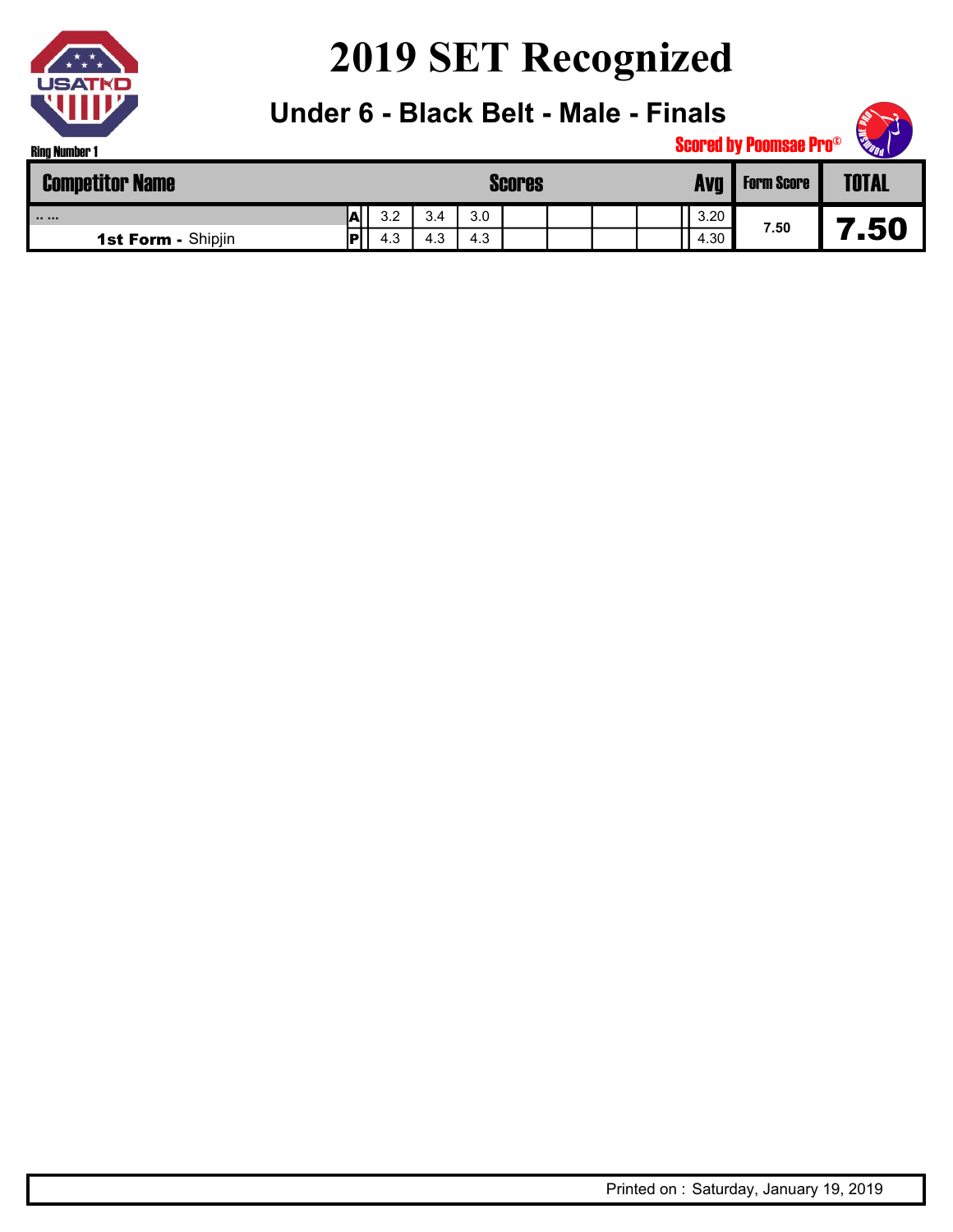

**Under 6 - Black Belt - Male - Finals**



| <b>Competitor Name</b>    |     |             |          |     | <b>Scores</b> |  | Avg  | <b>Form Score</b> | <b>TOTAL</b> |
|---------------------------|-----|-------------|----------|-----|---------------|--|------|-------------------|--------------|
|                           | IAI | 20<br>ے.د   | 3.4      | 3.0 |               |  | 3.20 |                   |              |
| <b>1st Form - Shipjin</b> | IP  | . 2<br>د. 4 | ົ<br>ن.4 | 4.3 |               |  | 4.30 | 7.50              | .50          |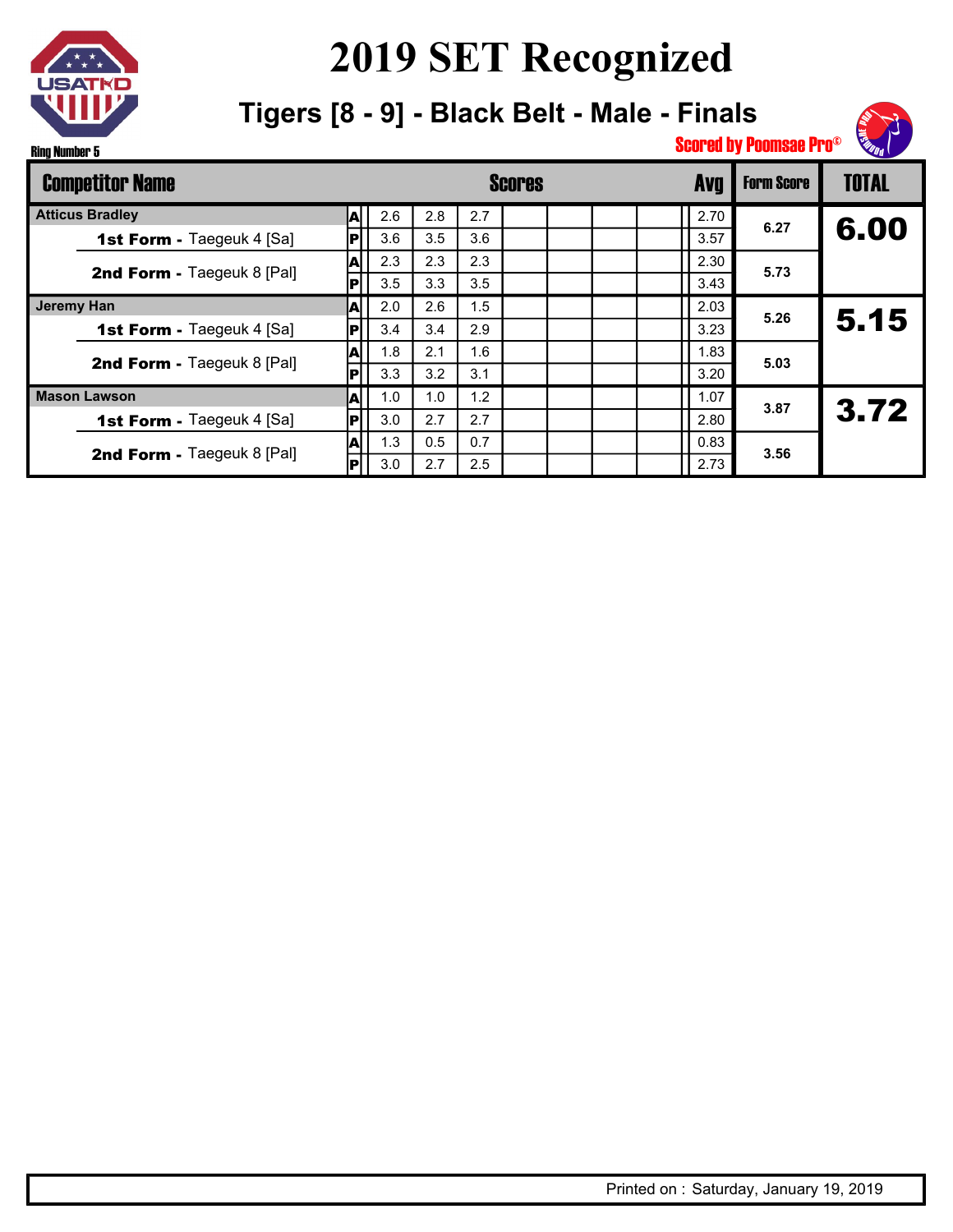

**Tigers [8 - 9] - Black Belt - Male - Finals**



| <b>Competitor Name</b>           |       |     | Scores |     |  |  |  |  |      | <b>Form Score</b> | <b>TOTAL</b> |
|----------------------------------|-------|-----|--------|-----|--|--|--|--|------|-------------------|--------------|
| <b>Atticus Bradley</b>           | A     | 2.6 | 2.8    | 2.7 |  |  |  |  | 2.70 |                   |              |
| <b>1st Form - Taegeuk 4 [Sa]</b> | P     | 3.6 | 3.5    | 3.6 |  |  |  |  | 3.57 | 6.27              | 6.00         |
| 2nd Form - Taegeuk 8 [Pal]       | A     | 2.3 | 2.3    | 2.3 |  |  |  |  | 2.30 | 5.73              |              |
|                                  | вI    | 3.5 | 3.3    | 3.5 |  |  |  |  | 3.43 |                   |              |
| Jeremy Han                       |       | 2.0 | 2.6    | .5  |  |  |  |  | 2.03 |                   |              |
| <b>1st Form - Taegeuk 4 [Sa]</b> | lPl   | 3.4 | 3.4    | 2.9 |  |  |  |  | 3.23 | 5.26              | 5.15         |
| 2nd Form - Taegeuk 8 [Pal]       | A     | 1.8 | 2.1    | 1.6 |  |  |  |  | 1.83 | 5.03              |              |
|                                  | P     | 3.3 | 3.2    | 3.1 |  |  |  |  | 3.20 |                   |              |
| <b>Mason Lawson</b>              | A     | 1.0 | 1.0    | 1.2 |  |  |  |  | 1.07 | 3.87              | 3.72         |
| <b>1st Form - Taegeuk 4 [Sa]</b> | P     | 3.0 | 2.7    | 2.7 |  |  |  |  | 2.80 |                   |              |
| 2nd Form - Taegeuk 8 [Pal]       | IА    | 1.3 | 0.5    | 0.7 |  |  |  |  | 0.83 | 3.56              |              |
|                                  | lPl l | 3.0 | 2.7    | 2.5 |  |  |  |  | 2.73 |                   |              |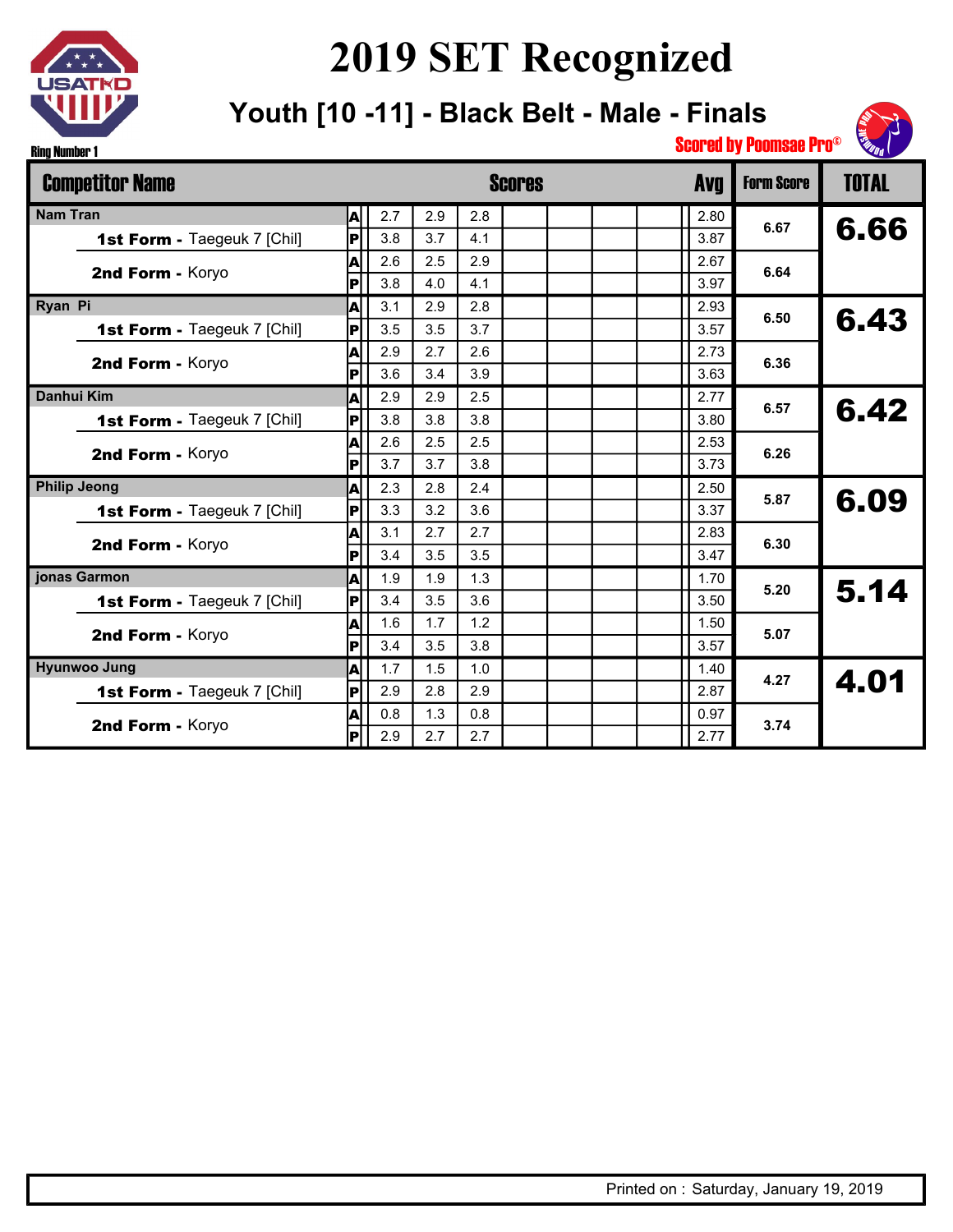

**Youth [10 -11] - Black Belt - Male - Finals**

| <b>Competitor Name</b>             |                 |     |     |     | <b>Scores</b> |  | <b>Avg</b> | <b>Form Score</b> | <b>TOTAL</b> |
|------------------------------------|-----------------|-----|-----|-----|---------------|--|------------|-------------------|--------------|
| <b>Nam Tran</b>                    | A               | 2.7 | 2.9 | 2.8 |               |  | 2.80       | 6.67              |              |
| 1st Form - Taegeuk 7 [Chil]        | $ {\mathsf P} $ | 3.8 | 3.7 | 4.1 |               |  | 3.87       |                   | 6.66         |
| 2nd Form - Koryo                   | A               | 2.6 | 2.5 | 2.9 |               |  | 2.67       | 6.64              |              |
|                                    | P               | 3.8 | 4.0 | 4.1 |               |  | 3.97       |                   |              |
| Ryan Pi                            | A               | 3.1 | 2.9 | 2.8 |               |  | 2.93       | 6.50              |              |
| 1st Form - Taegeuk 7 [Chil]        | P               | 3.5 | 3.5 | 3.7 |               |  | 3.57       |                   | 6.43         |
|                                    | A               | 2.9 | 2.7 | 2.6 |               |  | 2.73       | 6.36              |              |
| 2nd Form - Koryo                   | P               | 3.6 | 3.4 | 3.9 |               |  | 3.63       |                   |              |
| Danhui Kim                         | A               | 2.9 | 2.9 | 2.5 |               |  | 2.77       | 6.57              | 6.42         |
| <b>1st Form - Taegeuk 7 [Chil]</b> | P               | 3.8 | 3.8 | 3.8 |               |  | 3.80       |                   |              |
| 2nd Form - Koryo                   | A               | 2.6 | 2.5 | 2.5 |               |  | 2.53       | 6.26              |              |
|                                    | P               | 3.7 | 3.7 | 3.8 |               |  | 3.73       |                   |              |
| <b>Philip Jeong</b>                | A               | 2.3 | 2.8 | 2.4 |               |  | 2.50       | 5.87              |              |
| <b>1st Form - Taegeuk 7 [Chil]</b> | P               | 3.3 | 3.2 | 3.6 |               |  | 3.37       |                   | 6.09         |
|                                    | A               | 3.1 | 2.7 | 2.7 |               |  | 2.83       | 6.30              |              |
| 2nd Form - Koryo                   | P               | 3.4 | 3.5 | 3.5 |               |  | 3.47       |                   |              |
| jonas Garmon                       | A               | 1.9 | 1.9 | 1.3 |               |  | 1.70       | 5.20              | 5.14         |
| 1st Form - Taegeuk 7 [Chil]        | P               | 3.4 | 3.5 | 3.6 |               |  | 3.50       |                   |              |
| 2nd Form - Koryo                   | A               | 1.6 | 1.7 | 1.2 |               |  | 1.50       | 5.07              |              |
|                                    | P               | 3.4 | 3.5 | 3.8 |               |  | 3.57       |                   |              |
| <b>Hyunwoo Jung</b>                | A               | 1.7 | 1.5 | 1.0 |               |  | 1.40       | 4.27              | 4.01         |
| 1st Form - Taegeuk 7 [Chil]        | P               | 2.9 | 2.8 | 2.9 |               |  | 2.87       |                   |              |
|                                    | A               | 0.8 | 1.3 | 0.8 |               |  | 0.97       | 3.74              |              |
| 2nd Form - Koryo                   | P               | 2.9 | 2.7 | 2.7 |               |  | 2.77       |                   |              |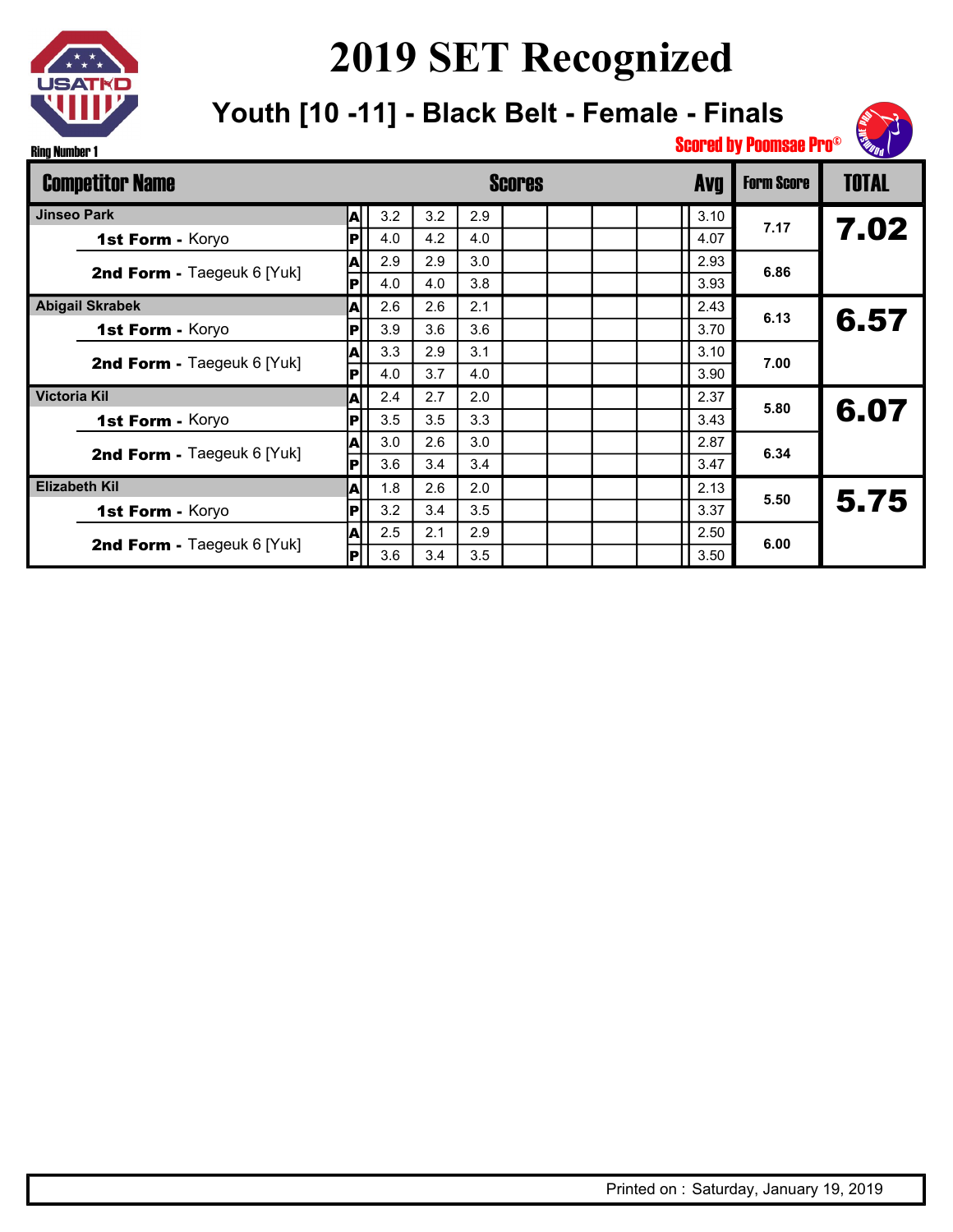

**Youth [10 -11] - Black Belt - Female - Finals**



| <b>Competitor Name</b>            |     |     |     |     | <b>Scores</b> |  | <b>Avq</b> | <b>Form Score</b> | <b>TOTAL</b> |
|-----------------------------------|-----|-----|-----|-----|---------------|--|------------|-------------------|--------------|
| <b>Jinseo Park</b>                | A   | 3.2 | 3.2 | 2.9 |               |  | 3.10       |                   |              |
| 1st Form - Koryo                  | lPi | 4.0 | 4.2 | 4.0 |               |  | 4.07       | 7.17              | 7.02         |
|                                   | A   | 2.9 | 2.9 | 3.0 |               |  | 2.93       | 6.86              |              |
| 2nd Form - Taegeuk 6 [Yuk]        | lPl | 4.0 | 4.0 | 3.8 |               |  | 3.93       |                   |              |
| <b>Abigail Skrabek</b>            | A   | 2.6 | 2.6 | 2.1 |               |  | 2.43       | 6.13              |              |
| 1st Form - Koryo                  |     | 3.9 | 3.6 | 3.6 |               |  | 3.70       |                   | 6.57         |
| 2nd Form - Taegeuk 6 [Yuk]        | A   | 3.3 | 2.9 | 3.1 |               |  | 3.10       | 7.00              |              |
|                                   | IPI | 4.0 | 3.7 | 4.0 |               |  | 3.90       |                   |              |
| <b>Victoria Kil</b>               | A   | 2.4 | 2.7 | 2.0 |               |  | 2.37       | 5.80              |              |
| 1st Form - Koryo                  | P   | 3.5 | 3.5 | 3.3 |               |  | 3.43       |                   | 6.07         |
| 2nd Form - Taegeuk 6 [Yuk]        | A   | 3.0 | 2.6 | 3.0 |               |  | 2.87       | 6.34              |              |
|                                   | P   | 3.6 | 3.4 | 3.4 |               |  | 3.47       |                   |              |
| <b>Elizabeth Kil</b>              | A   | 1.8 | 2.6 | 2.0 |               |  | 2.13       | 5.50              | 5.75         |
| 1st Form - Koryo                  | P   | 3.2 | 3.4 | 3.5 |               |  | 3.37       |                   |              |
| <b>2nd Form - Taegeuk 6 [Yuk]</b> | ΙAΙ | 2.5 | 2.1 | 2.9 |               |  | 2.50       | 6.00              |              |
|                                   | Рl  | 3.6 | 3.4 | 3.5 |               |  | 3.50       |                   |              |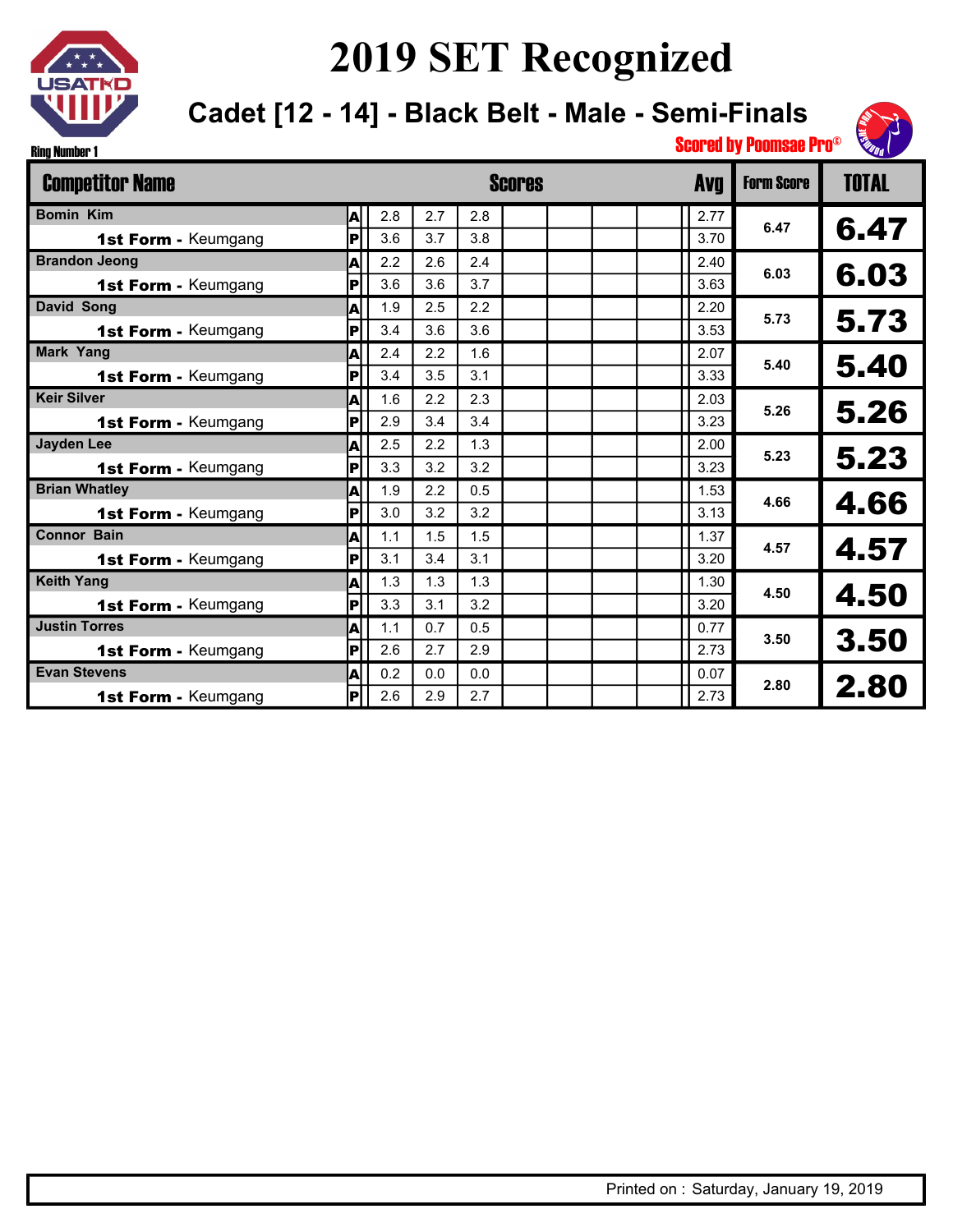

#### **Cadet [12 - 14] - Black Belt - Male - Semi-Finals**



| <b>Competitor Name</b>              |     |     |     | <b>Scores</b> |  | Avg  | <b>Form Score</b> | <b>TOTAL</b> |
|-------------------------------------|-----|-----|-----|---------------|--|------|-------------------|--------------|
| <b>Bomin Kim</b><br> A              | 2.8 | 2.7 | 2.8 |               |  | 2.77 | 6.47              | 6.47         |
| $\mathbf{P}$<br>1st Form - Keumgang | 3.6 | 3.7 | 3.8 |               |  | 3.70 |                   |              |
| <b>Brandon Jeong</b><br>A           | 2.2 | 2.6 | 2.4 |               |  | 2.40 | 6.03              |              |
| P<br><b>1st Form - Keumgang</b>     | 3.6 | 3.6 | 3.7 |               |  | 3.63 |                   | 6.03         |
| <b>David Song</b><br>A              | 1.9 | 2.5 | 2.2 |               |  | 2.20 | 5.73              |              |
| P<br>1st Form - Keumgang            | 3.4 | 3.6 | 3.6 |               |  | 3.53 |                   | 5.73         |
| <b>Mark Yang</b><br>A               | 2.4 | 2.2 | 1.6 |               |  | 2.07 |                   |              |
| P<br>1st Form - Keumgang            | 3.4 | 3.5 | 3.1 |               |  | 3.33 | 5.40              | 5.40         |
| <b>Keir Silver</b><br> A            | 1.6 | 2.2 | 2.3 |               |  | 2.03 |                   |              |
| P<br><b>1st Form - Keumgang</b>     | 2.9 | 3.4 | 3.4 |               |  | 3.23 | 5.26              | 5.26         |
| A<br><b>Jayden Lee</b>              | 2.5 | 2.2 | 1.3 |               |  | 2.00 |                   |              |
| P<br>1st Form - Keumgang            | 3.3 | 3.2 | 3.2 |               |  | 3.23 | 5.23              | 5.23         |
| <b>Brian Whatley</b><br>A           | 1.9 | 2.2 | 0.5 |               |  | 1.53 | 4.66              |              |
| P<br>1st Form - Keumgang            | 3.0 | 3.2 | 3.2 |               |  | 3.13 |                   | 4.66         |
| <b>Connor Bain</b><br>A             | 1.1 | 1.5 | 1.5 |               |  | 1.37 |                   |              |
| P<br>1st Form - Keumgang            | 3.1 | 3.4 | 3.1 |               |  | 3.20 | 4.57              | 4.57         |
| <b>Keith Yang</b><br>A              | 1.3 | 1.3 | 1.3 |               |  | 1.30 |                   |              |
| $\mathsf{P}$<br>1st Form - Keumgang | 3.3 | 3.1 | 3.2 |               |  | 3.20 | 4.50              | 4.50         |
| <b>Justin Torres</b><br>A           | 1.1 | 0.7 | 0.5 |               |  | 0.77 |                   |              |
| P<br><b>1st Form - Keumgang</b>     | 2.6 | 2.7 | 2.9 |               |  | 2.73 | 3.50              | 3.50         |
| <b>Evan Stevens</b><br> A           | 0.2 | 0.0 | 0.0 |               |  | 0.07 |                   |              |
| P<br><b>1st Form - Keumgang</b>     | 2.6 | 2.9 | 2.7 |               |  | 2.73 | 2.80              | 2.80         |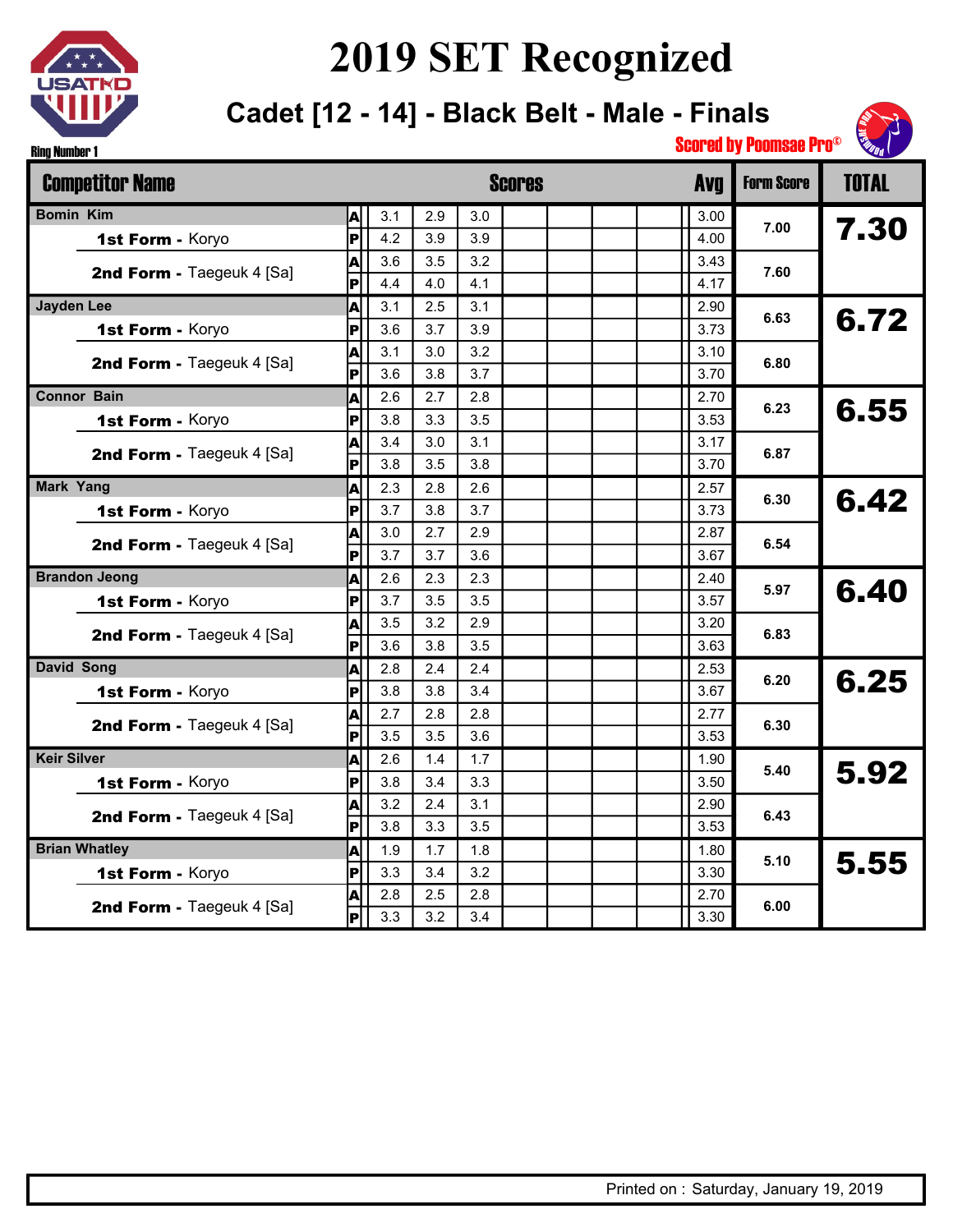

**Cadet [12 - 14] - Black Belt - Male - Finals**

| <b>Competitor Name</b>    |                         |     |     |     | <b>Scores</b> |  | <b>Avg</b> | <b>Form Score</b> | <b>TOTAL</b> |
|---------------------------|-------------------------|-----|-----|-----|---------------|--|------------|-------------------|--------------|
| <b>Bomin Kim</b>          | A                       | 3.1 | 2.9 | 3.0 |               |  | 3.00       | 7.00              |              |
| 1st Form - Koryo          | P                       | 4.2 | 3.9 | 3.9 |               |  | 4.00       |                   | 7.30         |
| 2nd Form - Taegeuk 4 [Sa] | A                       | 3.6 | 3.5 | 3.2 |               |  | 3.43       | 7.60              |              |
|                           | P                       | 4.4 | 4.0 | 4.1 |               |  | 4.17       |                   |              |
| <b>Jayden Lee</b>         | A                       | 3.1 | 2.5 | 3.1 |               |  | 2.90       | 6.63              |              |
| 1st Form - Koryo          | P                       | 3.6 | 3.7 | 3.9 |               |  | 3.73       |                   | 6.72         |
|                           | A                       | 3.1 | 3.0 | 3.2 |               |  | 3.10       | 6.80              |              |
| 2nd Form - Taegeuk 4 [Sa] | P                       | 3.6 | 3.8 | 3.7 |               |  | 3.70       |                   |              |
| <b>Connor Bain</b>        | A                       | 2.6 | 2.7 | 2.8 |               |  | 2.70       | 6.23              |              |
| 1st Form - Koryo          | P                       | 3.8 | 3.3 | 3.5 |               |  | 3.53       |                   | 6.55         |
|                           | A                       | 3.4 | 3.0 | 3.1 |               |  | 3.17       | 6.87              |              |
| 2nd Form - Taegeuk 4 [Sa] | Þ                       | 3.8 | 3.5 | 3.8 |               |  | 3.70       |                   |              |
| <b>Mark Yang</b>          | A                       | 2.3 | 2.8 | 2.6 |               |  | 2.57       |                   |              |
| 1st Form - Koryo          | P                       | 3.7 | 3.8 | 3.7 |               |  | 3.73       | 6.30              | 6.42         |
|                           | A                       | 3.0 | 2.7 | 2.9 |               |  | 2.87       |                   |              |
| 2nd Form - Taegeuk 4 [Sa] | P                       | 3.7 | 3.7 | 3.6 |               |  | 3.67       | 6.54              |              |
| <b>Brandon Jeong</b>      | A                       | 2.6 | 2.3 | 2.3 |               |  | 2.40       |                   |              |
| 1st Form - Koryo          | P                       | 3.7 | 3.5 | 3.5 |               |  | 3.57       | 5.97              | 6.40         |
|                           | A                       | 3.5 | 3.2 | 2.9 |               |  | 3.20       |                   |              |
| 2nd Form - Taegeuk 4 [Sa] | Þ                       | 3.6 | 3.8 | 3.5 |               |  | 3.63       | 6.83              |              |
| <b>David Song</b>         | A                       | 2.8 | 2.4 | 2.4 |               |  | 2.53       |                   |              |
| 1st Form - Koryo          | lPl                     | 3.8 | 3.8 | 3.4 |               |  | 3.67       | 6.20              | 6.25         |
|                           | A                       | 2.7 | 2.8 | 2.8 |               |  | 2.77       |                   |              |
| 2nd Form - Taegeuk 4 [Sa] | $\overline{\mathbf{P}}$ | 3.5 | 3.5 | 3.6 |               |  | 3.53       | 6.30              |              |
| <b>Keir Silver</b>        | A                       | 2.6 | 1.4 | 1.7 |               |  | 1.90       |                   |              |
| 1st Form - Koryo          | $\overline{\mathbf{P}}$ | 3.8 | 3.4 | 3.3 |               |  | 3.50       | 5.40              | 5.92         |
|                           | A                       | 3.2 | 2.4 | 3.1 |               |  | 2.90       |                   |              |
| 2nd Form - Taegeuk 4 [Sa] | P                       | 3.8 | 3.3 | 3.5 |               |  | 3.53       | 6.43              |              |
| <b>Brian Whatley</b>      | A                       | 1.9 | 1.7 | 1.8 |               |  | 1.80       |                   |              |
| 1st Form - Koryo          | lPl                     | 3.3 | 3.4 | 3.2 |               |  | 3.30       | 5.10              | 5.55         |
|                           | A                       | 2.8 | 2.5 | 2.8 |               |  | 2.70       |                   |              |
| 2nd Form - Taegeuk 4 [Sa] | IР                      | 3.3 | 3.2 | 3.4 |               |  | 3.30       | 6.00              |              |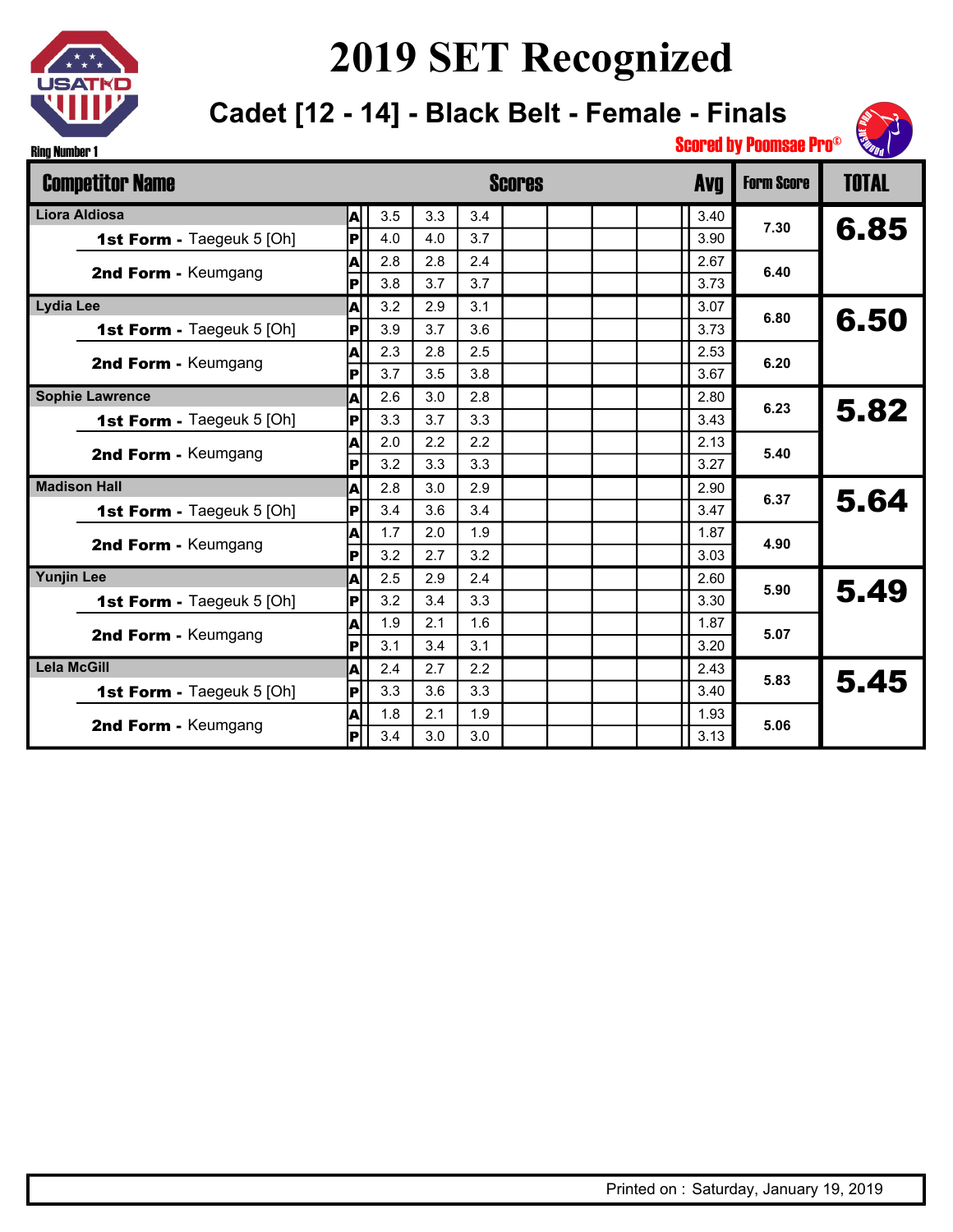

1st Form - Taegeuk 5 [Oh]

1st Form - Taegeuk 5 [Oh]

**Lela McGill** 2.4 2.7 2.2

2nd Form - Keumgang

2nd Form - Keumgang

### **2019 SET Recognized**

**Cadet [12 - 14] - Black Belt - Female - Finals**

| <b>Ring Number 1</b>             |     |     |     |     |               |  |            | <b>Scored by Poomsae Pro®</b> | <b>EURAL</b> |
|----------------------------------|-----|-----|-----|-----|---------------|--|------------|-------------------------------|--------------|
| <b>Competitor Name</b>           |     |     |     |     | <b>Scores</b> |  | <b>Avg</b> | <b>Form Score</b>             | <b>TOTAL</b> |
| Liora Aldiosa                    | A   | 3.5 | 3.3 | 3.4 |               |  | 3.40       |                               |              |
| <b>1st Form - Taegeuk 5 [Oh]</b> | P   | 4.0 | 4.0 | 3.7 |               |  | 3.90       | 7.30                          | 6.85         |
| 2nd Form - Keumgang              | Al  | 2.8 | 2.8 | 2.4 |               |  | 2.67       | 6.40                          |              |
|                                  | IРİ | 3.8 | 3.7 | 3.7 |               |  | 3.73       |                               |              |
| <b>Lydia Lee</b>                 | A   | 3.2 | 2.9 | 3.1 |               |  | 3.07       | 6.80                          |              |
| 1st Form - Taegeuk 5 [Oh]        | Pl  | 3.9 | 3.7 | 3.6 |               |  | 3.73       |                               | 6.50         |
| 2nd Form - Keumgang              | Al  | 2.3 | 2.8 | 2.5 |               |  | 2.53       |                               |              |
|                                  | Pl  | 3.7 | 3.5 | 3.8 |               |  | 3.67       | 6.20                          |              |
| <b>Sophie Lawrence</b>           | IAI | 2.6 | 3.0 | 2.8 |               |  | 2.80       | 6.23                          | 5.82         |
| <b>1st Form - Taegeuk 5 [Oh]</b> | P   | 3.3 | 3.7 | 3.3 |               |  | 3.43       |                               |              |
| 2nd Form - Keumgang              | A   | 2.0 | 2.2 | 2.2 |               |  | 2.13       | 5.40                          |              |
|                                  | Рl  | 3.2 | 3.3 | 3.3 |               |  | 3.27       |                               |              |
| <b>Madison Hall</b>              | A   | 2.8 | 3.0 | 2.9 |               |  | 2.90       |                               | 5.64         |
| <b>1st Form - Taegeuk 5 [Oh]</b> | Pl  | 3.4 | 3.6 | 3.4 |               |  | 3.47       | 6.37                          |              |
|                                  | A   | 1.7 | 2.0 | 1.9 |               |  | 1.87       | 4.90                          |              |
| 2nd Form - Keumgang              | IРİ | 3.2 | 2.7 | 3.2 |               |  | 3.03       |                               |              |
| <b>Yunjin Lee</b>                | A   | 2.5 | 2.9 | 2.4 |               |  | 2.60       | $ -$                          |              |

3.2 3.4 3.3

3.1 3.4 3.1 1.9 2.1 1.6

3.3 3.6 3.3

3.4 3.0 3.0 1.8 2.1 1.9

A P

A P

A P

P

3.30 1.87 3.20

2.43 3.40 1.93 3.13

**5.90**

5.49

5.45

**5.07**

**5.83**

**5.06**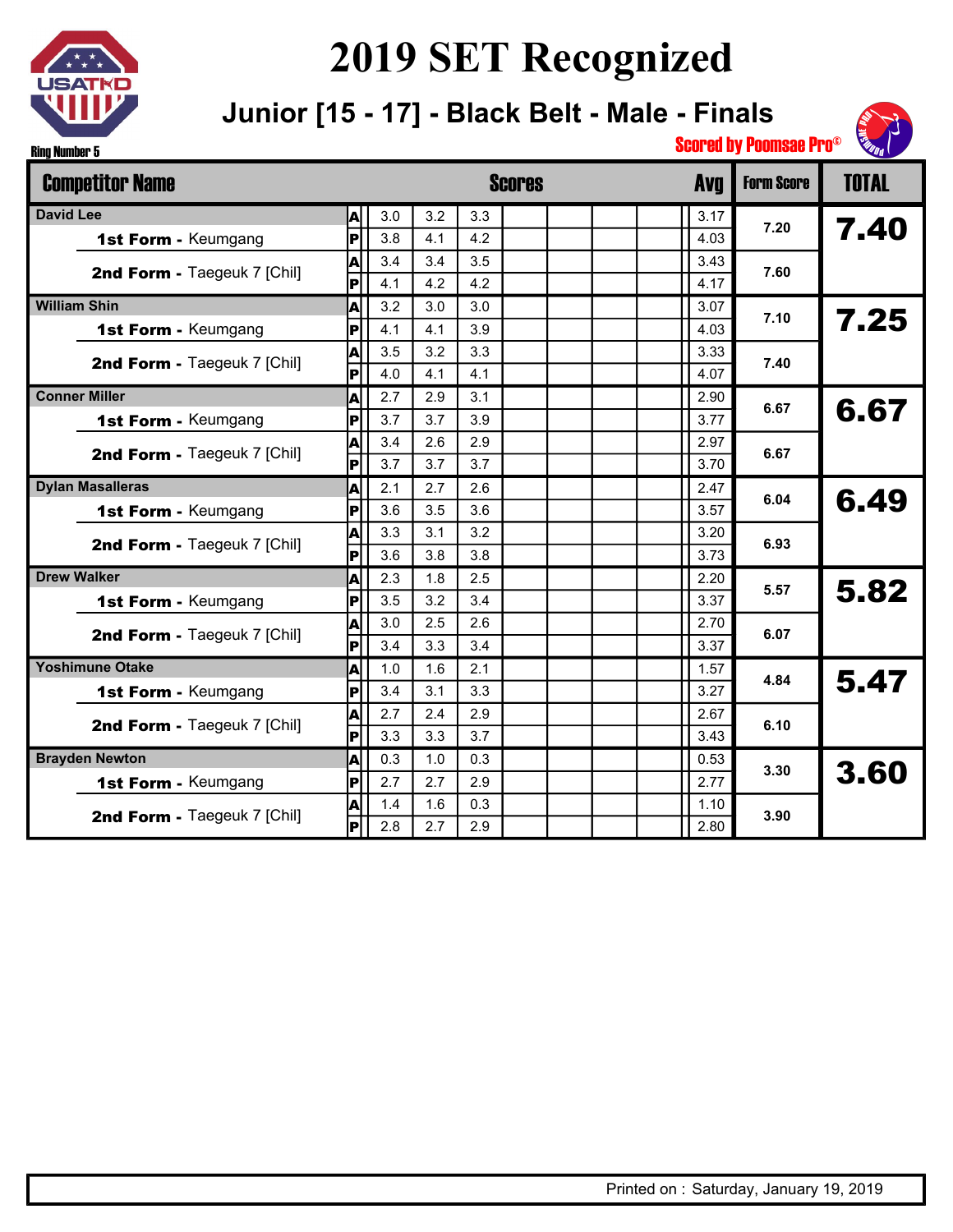

**Drew Walker** 2.5 **All 2.3 1.8 2.5** 

**Yoshimune Otake** 1.0 1.6 2.1

**Brayden Newton All 0.3 1.0 0.3** 

1st Form - Keumgang

1st Form - Keumgang

1st Form - Keumgang

2nd Form - Taegeuk 7 [Chil]

2nd Form - Taegeuk 7 [Chil]

2nd Form - Taegeuk 7 [Chil]

#### **2019 SET Recognized**

**Junior [15 - 17] - Black Belt - Male - Finals**

| Ring Number 5                      |     |     |     |     |               |  |            | <b>Scored by Poomsae Pro®</b> | <b>HEADER</b> |
|------------------------------------|-----|-----|-----|-----|---------------|--|------------|-------------------------------|---------------|
| <b>Competitor Name</b>             |     |     |     |     | <b>Scores</b> |  | <b>Avg</b> | <b>Form Score</b>             | <b>TOTAL</b>  |
| <b>David Lee</b>                   | A   | 3.0 | 3.2 | 3.3 |               |  | 3.17       |                               |               |
| <b>1st Form - Keumgang</b>         |     | 3.8 | 4.1 | 4.2 |               |  | 4.03       | 7.20                          | 7.40          |
|                                    |     | 3.4 | 3.4 | 3.5 |               |  | 3.43       |                               |               |
| <b>2nd Form - Taegeuk 7 [Chil]</b> | IР  | 4.1 | 4.2 | 4.2 |               |  | 4.17       | 7.60                          |               |
| <b>William Shin</b>                | A   | 3.2 | 3.0 | 3.0 |               |  | 3.07       |                               |               |
| <b>1st Form - Keumgang</b>         | IР  | 4.1 | 4.1 | 3.9 |               |  | 4.03       | 7.10                          | 7.25          |
|                                    |     | 3.5 | 3.2 | 3.3 |               |  | 3.33       |                               |               |
| 2nd Form - Taegeuk 7 [Chil]        | IРI | 4.0 | 4.1 | 4.1 |               |  | 4.07       | 7.40                          |               |
| <b>Conner Miller</b>               | A   | 2.7 | 2.9 | 3.1 |               |  | 2.90       |                               |               |
| <b>1st Form - Keumgang</b>         | IPI | 3.7 | 3.7 | 3.9 |               |  | 3.77       | 6.67                          | 6.67          |
|                                    | A   | 3.4 | 2.6 | 2.9 |               |  | 2.97       | 6.67                          |               |
| 2nd Form - Taegeuk 7 [Chil]        | ΙPΙ | 3.7 | 3.7 | 3.7 |               |  | 3.70       |                               |               |
| <b>Dylan Masalleras</b>            | A   | 2.1 | 2.7 | 2.6 |               |  | 2.47       | 6.04                          |               |
| <b>1st Form - Keumgang</b>         | IР  | 3.6 | 3.5 | 3.6 |               |  | 3.57       |                               | 6.49          |
|                                    | A   | 3.3 | 3.1 | 3.2 |               |  | 3.20       | 6.93                          |               |
| 2nd Form - Taegeuk 7 [Chil]        | P   | 3.6 | 3.8 | 3.8 |               |  | 3.73       |                               |               |

 $3.5$  3.2 3.4

 $3.4$   $3.3$   $3.4$ 3.0 2.5 2.6

3.4 3.1 3.3

 $3.3$   $3.3$   $3.7$ 2.7 2.4 2.9

2.7 2.7 2.9

 $2.8$  2.7 2.9 1.4 1.6 0.3

A P

A P

A P

A P

A P

A  $\overline{\mathbf{P}}$  2.20 3.37 2.70 3.37

1.57 3.27 2.67 3.43

0.53 2.77 1.10 2.80 **5.57**

5.82

5.47

3.60

**6.07**

**4.84**

**6.10**

**3.30**

**3.90**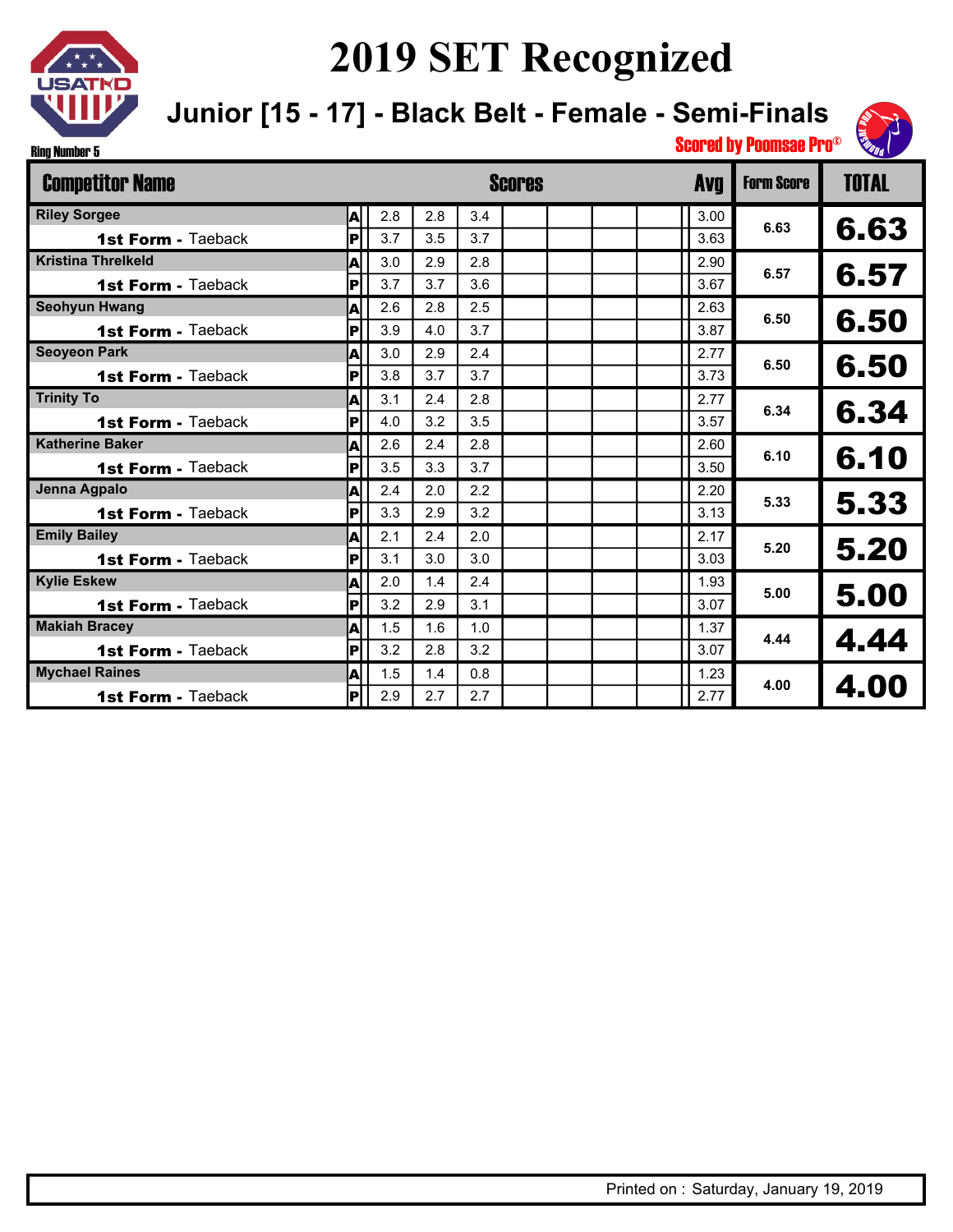

**Junior [15 - 17] - Black Belt - Female - Semi-Finals**



Ring Number 5

| <b>Competitor Name</b>    |    |     |     | <b>Scores</b> | <b>Avg</b> | <b>Form Score</b> | <b>TOTAL</b> |
|---------------------------|----|-----|-----|---------------|------------|-------------------|--------------|
| <b>Riley Sorgee</b>       | A  | 2.8 | 2.8 | 3.4           | 3.00       | 6.63              | 6.63         |
| 1st Form - Taeback        | IР | 3.7 | 3.5 | 3.7           | 3.63       |                   |              |
| <b>Kristina Threlkeld</b> | A  | 3.0 | 2.9 | 2.8           | 2.90       | 6.57              |              |
| 1st Form - Taeback        | P  | 3.7 | 3.7 | 3.6           | 3.67       |                   | 6.57         |
| <b>Seohyun Hwang</b>      | A  | 2.6 | 2.8 | 2.5           | 2.63       | 6.50              |              |
| <b>1st Form - Taeback</b> | P  | 3.9 | 4.0 | 3.7           | 3.87       |                   | 6.50         |
| <b>Seoyeon Park</b>       | A  | 3.0 | 2.9 | 2.4           | 2.77       | 6.50              |              |
| <b>1st Form - Taeback</b> | P  | 3.8 | 3.7 | 3.7           | 3.73       |                   | 6.50         |
| <b>Trinity To</b>         | A  | 3.1 | 2.4 | 2.8           | 2.77       | 6.34              |              |
| <b>1st Form - Taeback</b> | P  | 4.0 | 3.2 | 3.5           | 3.57       |                   | 6.34         |
| <b>Katherine Baker</b>    | A  | 2.6 | 2.4 | 2.8           | 2.60       | 6.10              |              |
| 1st Form - Taeback        | IР | 3.5 | 3.3 | 3.7           | 3.50       |                   | 6.10         |
| Jenna Agpalo              | A  | 2.4 | 2.0 | 2.2           | 2.20       | 5.33              |              |
| 1st Form - Taeback        | IР | 3.3 | 2.9 | 3.2           | 3.13       |                   | 5.33         |
| <b>Emily Bailey</b>       | A  | 2.1 | 2.4 | 2.0           | 2.17       |                   |              |
| <b>1st Form - Taeback</b> | IР | 3.1 | 3.0 | 3.0           | 3.03       | 5.20              | 5.20         |
| <b>Kylie Eskew</b>        | A  | 2.0 | 1.4 | 2.4           | 1.93       | 5.00              |              |
| 1st Form - Taeback        | IР | 3.2 | 2.9 | 3.1           | 3.07       |                   | 5.00         |
| <b>Makiah Bracey</b>      | A  | 1.5 | 1.6 | 1.0           | 1.37       | 4.44              |              |
| 1st Form - Taeback        | P  | 3.2 | 2.8 | 3.2           | 3.07       |                   | 4.44         |
| <b>Mychael Raines</b>     | A  | 1.5 | 1.4 | 0.8           | 1.23       |                   |              |
| 1st Form - Taeback        | P  | 2.9 | 2.7 | 2.7           | 2.77       | 4.00              | 4.00         |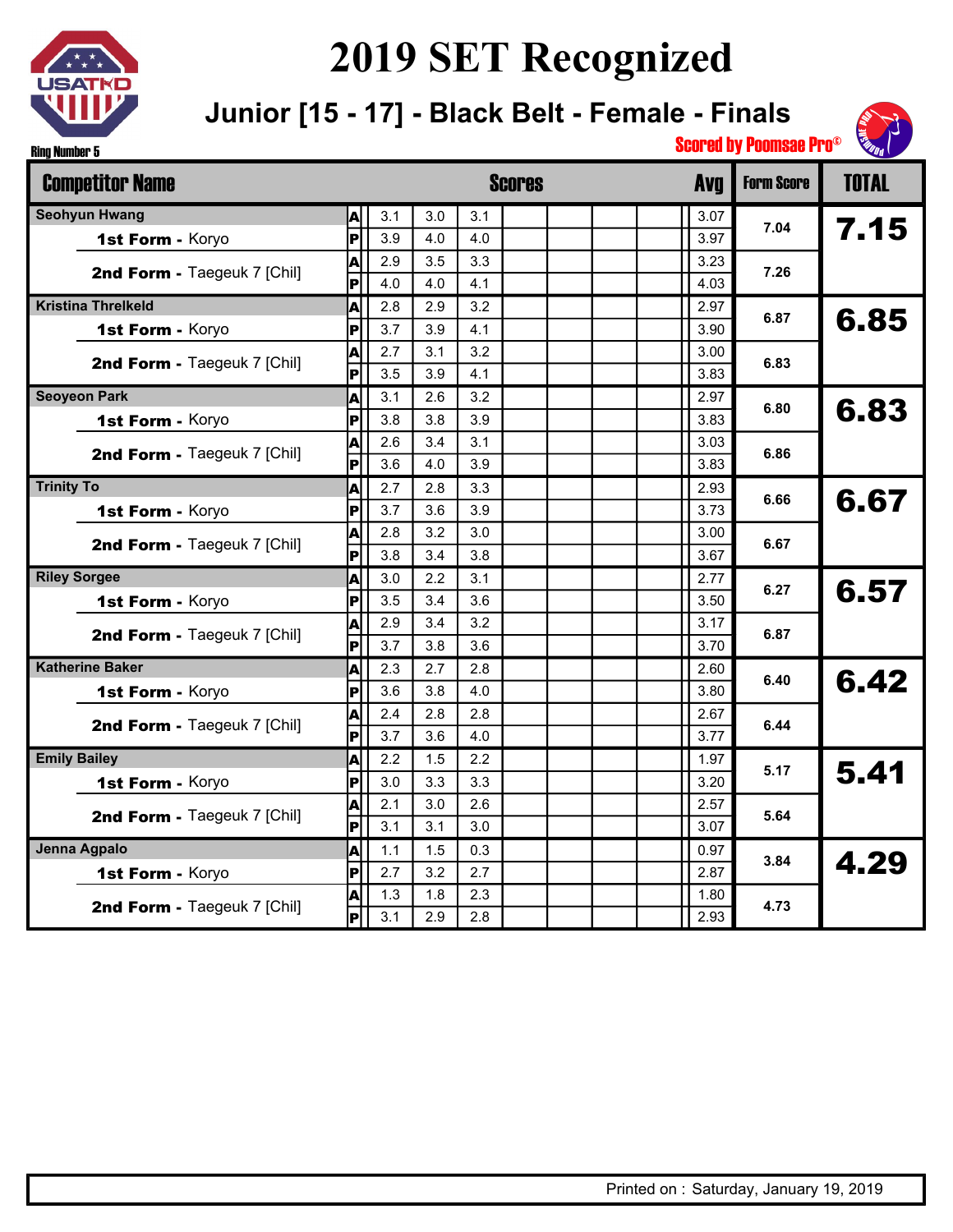

Scored by Poomsae Pro© **Junior [15 - 17] - Black Belt - Female - Finals**

**READER** 

| <b>Ring Number 5</b> |                             |                         |     |     |        |  |            | <u>OGOI GU DJ I OUINOAG I I U</u> | <b>SOUTH</b> |
|----------------------|-----------------------------|-------------------------|-----|-----|--------|--|------------|-----------------------------------|--------------|
|                      | <b>Competitor Name</b>      |                         |     |     | Scores |  | <b>Avg</b> | <b>Form Score</b>                 | <b>TOTAL</b> |
|                      | <b>Seohyun Hwang</b>        | A                       | 3.1 | 3.0 | 3.1    |  | 3.07       |                                   |              |
|                      | 1st Form - Koryo            | P                       | 3.9 | 4.0 | 4.0    |  | 3.97       | 7.04                              | 7.15         |
|                      |                             | A                       | 2.9 | 3.5 | 3.3    |  | 3.23       | 7.26                              |              |
|                      | 2nd Form - Taegeuk 7 [Chil] | $\overline{\mathbf{P}}$ | 4.0 | 4.0 | 4.1    |  | 4.03       |                                   |              |
|                      | <b>Kristina Threlkeld</b>   | A                       | 2.8 | 2.9 | 3.2    |  | 2.97       | 6.87                              |              |
|                      | 1st Form - Koryo            | P                       | 3.7 | 3.9 | 4.1    |  | 3.90       |                                   | 6.85         |
|                      |                             | A                       | 2.7 | 3.1 | 3.2    |  | 3.00       | 6.83                              |              |
|                      | 2nd Form - Taegeuk 7 [Chil] | lPl                     | 3.5 | 3.9 | 4.1    |  | 3.83       |                                   |              |
|                      | <b>Seoyeon Park</b>         | A                       | 3.1 | 2.6 | 3.2    |  | 2.97       | 6.80                              |              |
|                      | 1st Form - Koryo            | P                       | 3.8 | 3.8 | 3.9    |  | 3.83       |                                   | 6.83         |
|                      |                             | A                       | 2.6 | 3.4 | 3.1    |  | 3.03       | 6.86                              |              |
|                      | 2nd Form - Taegeuk 7 [Chil] | lрl                     | 3.6 | 4.0 | 3.9    |  | 3.83       |                                   |              |
| <b>Trinity To</b>    |                             | A                       | 2.7 | 2.8 | 3.3    |  | 2.93       |                                   |              |
|                      | 1st Form - Koryo            | P                       | 3.7 | 3.6 | 3.9    |  | 3.73       | 6.66                              | 6.67         |
|                      |                             | A                       | 2.8 | 3.2 | 3.0    |  | 3.00       |                                   |              |
|                      | 2nd Form - Taegeuk 7 [Chil] | P                       | 3.8 | 3.4 | 3.8    |  | 3.67       | 6.67                              |              |
|                      | <b>Riley Sorgee</b>         | A                       | 3.0 | 2.2 | 3.1    |  | 2.77       |                                   |              |
|                      | 1st Form - Koryo            | P                       | 3.5 | 3.4 | 3.6    |  | 3.50       | 6.27                              | 6.57         |
|                      |                             | A                       | 2.9 | 3.4 | 3.2    |  | 3.17       |                                   |              |
|                      | 2nd Form - Taegeuk 7 [Chil] | Þ                       | 3.7 | 3.8 | 3.6    |  | 3.70       | 6.87                              |              |
|                      | <b>Katherine Baker</b>      | A                       | 2.3 | 2.7 | 2.8    |  | 2.60       |                                   |              |
|                      | 1st Form - Koryo            | P                       | 3.6 | 3.8 | 4.0    |  | 3.80       | 6.40                              | 6.42         |
|                      |                             | A                       | 2.4 | 2.8 | 2.8    |  | 2.67       |                                   |              |
|                      | 2nd Form - Taegeuk 7 [Chil] | lPl                     | 3.7 | 3.6 | 4.0    |  | 3.77       | 6.44                              |              |
|                      | <b>Emily Bailey</b>         | A                       | 2.2 | 1.5 | 2.2    |  | 1.97       |                                   |              |
|                      | 1st Form - Koryo            | $ {\mathsf p} $         | 3.0 | 3.3 | 3.3    |  | 3.20       | 5.17                              | 5.41         |
|                      |                             | A                       | 2.1 | 3.0 | 2.6    |  | 2.57       |                                   |              |
|                      | 2nd Form - Taegeuk 7 [Chil] | P                       | 3.1 | 3.1 | 3.0    |  | 3.07       | 5.64                              |              |
|                      | Jenna Agpalo                | A                       | 1.1 | 1.5 | 0.3    |  | 0.97       |                                   |              |
|                      | 1st Form - Koryo            | P                       | 2.7 | 3.2 | 2.7    |  | 2.87       | 3.84                              | 4.29         |
|                      |                             | A                       | 1.3 | 1.8 | 2.3    |  | 1.80       |                                   |              |
|                      | 2nd Form - Taegeuk 7 [Chil] | $\vert$ P $\vert$       | 3.1 | 2.9 | 2.8    |  | 2.93       | 4.73                              |              |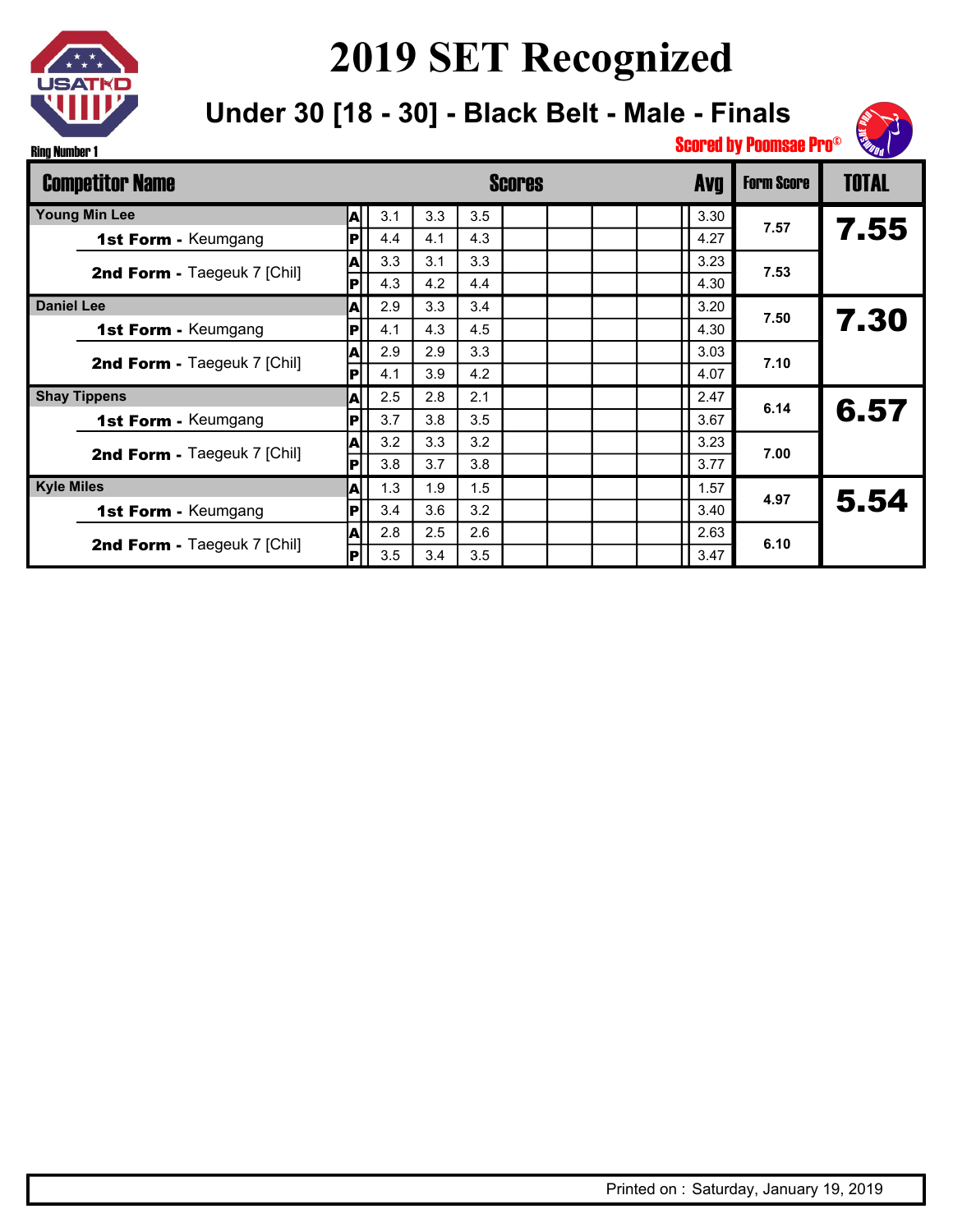

**Under 30 [18 - 30] - Black Belt - Male - Finals**



|                     | <b>Competitor Name</b>      |     |     |     |     | <b>Scores</b> |  | <b>Avg</b> | <b>Form Score</b> | <b>TOTAL</b> |
|---------------------|-----------------------------|-----|-----|-----|-----|---------------|--|------------|-------------------|--------------|
|                     | <b>Young Min Lee</b>        | A   | 3.1 | 3.3 | 3.5 |               |  | 3.30       |                   |              |
|                     | 1st Form - Keumgang         | Þ   | 4.4 | 4.1 | 4.3 |               |  | 4.27       | 7.57              | 7.55         |
|                     |                             | A   | 3.3 | 3.1 | 3.3 |               |  | 3.23       | 7.53              |              |
|                     | 2nd Form - Taegeuk 7 [Chil] | IР  | 4.3 | 4.2 | 4.4 |               |  | 4.30       |                   |              |
| <b>Daniel Lee</b>   |                             | A   | 2.9 | 3.3 | 3.4 |               |  | 3.20       | 7.50              |              |
|                     | 1st Form - Keumgang         | P   | 4.1 | 4.3 | 4.5 |               |  | 4.30       |                   | 7.30         |
|                     | 2nd Form - Taegeuk 7 [Chil] | A   | 2.9 | 2.9 | 3.3 |               |  | 3.03       | 7.10              |              |
|                     |                             | IРI | 4.1 | 3.9 | 4.2 |               |  | 4.07       |                   |              |
| <b>Shay Tippens</b> |                             | A   | 2.5 | 2.8 | 2.1 |               |  | 2.47       | 6.14              |              |
|                     | <b>1st Form - Keumgang</b>  | P   | 3.7 | 3.8 | 3.5 |               |  | 3.67       |                   | 6.57         |
|                     | 2nd Form - Taegeuk 7 [Chil] | A   | 3.2 | 3.3 | 3.2 |               |  | 3.23       | 7.00              |              |
|                     |                             | IРI | 3.8 | 3.7 | 3.8 |               |  | 3.77       |                   |              |
| <b>Kyle Miles</b>   |                             | A   | 1.3 | 1.9 | 1.5 |               |  | 1.57       | 4.97              | 5.54         |
|                     | <b>1st Form - Keumgang</b>  | p   | 3.4 | 3.6 | 3.2 |               |  | 3.40       |                   |              |
|                     | 2nd Form - Taegeuk 7 [Chil] | A   | 2.8 | 2.5 | 2.6 |               |  | 2.63       | 6.10              |              |
|                     |                             | P   | 3.5 | 3.4 | 3.5 |               |  | 3.47       |                   |              |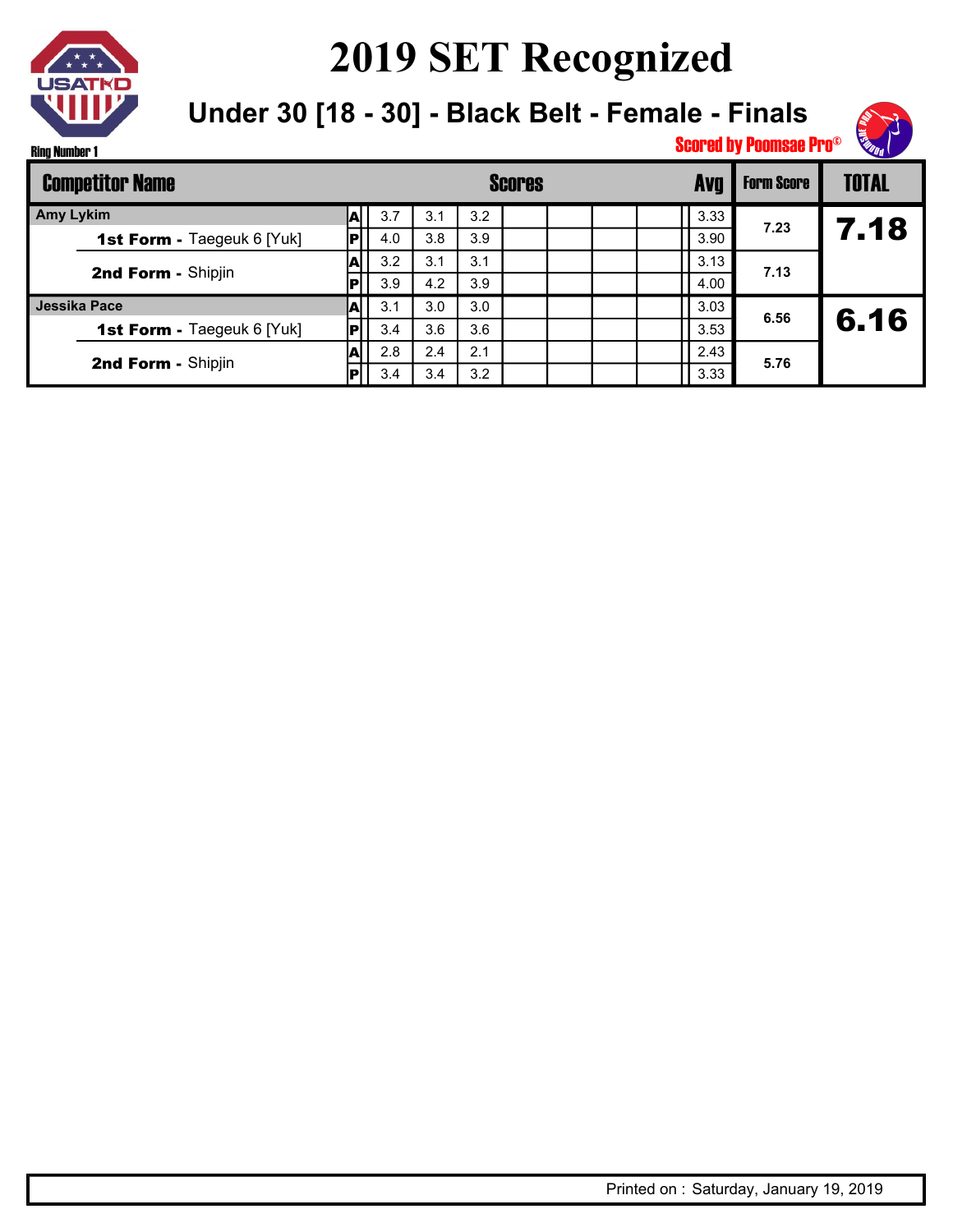

**Under 30 [18 - 30] - Black Belt - Female - Finals**



|           | <b>Competitor Name</b>     |   |     |     |     | <b>Scores</b> |  | Avc  | <b>Form Score</b> | <b>TOTAL</b> |
|-----------|----------------------------|---|-----|-----|-----|---------------|--|------|-------------------|--------------|
| Amy Lykim |                            |   | 3.7 | 3.1 | 3.2 |               |  | 3.33 | 7.23              |              |
|           | 1st Form - Taegeuk 6 [Yuk] |   | 4.0 | 3.8 | 3.9 |               |  | 3.90 |                   | 7.18         |
|           | 2nd Form - Shipjin         |   | 3.2 | 3.1 | 3.1 |               |  | 3.13 | 7.13              |              |
|           |                            |   | 3.9 | 4.2 | 3.9 |               |  | 4.00 |                   |              |
|           | Jessika Pace               | A | 3.1 | 3.0 | 3.0 |               |  | 3.03 | 6.56              |              |
|           | 1st Form - Taegeuk 6 [Yuk] |   | 3.4 | 3.6 | 3.6 |               |  | 3.53 |                   | 6.16         |
|           | 2nd Form - Shipjin         |   | 2.8 | 2.4 | 2.1 |               |  | 2.43 | 5.76              |              |
|           |                            |   | 3.4 | 3.4 | 3.2 |               |  | 3.33 |                   |              |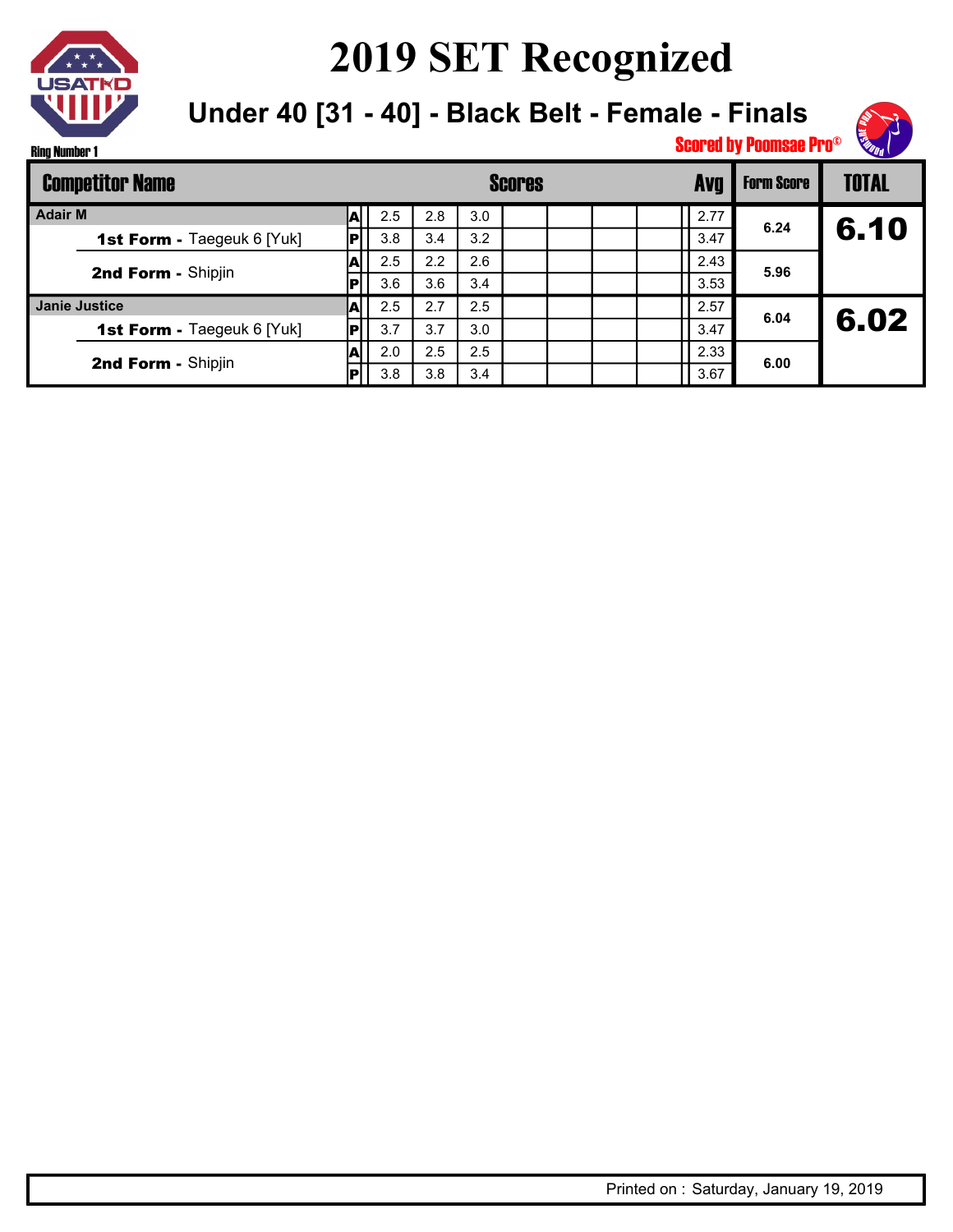

**Under 40 [31 - 40] - Black Belt - Female - Finals**



| <b>Competitor Name</b> |                                   |   |     |     |     | <b>Scores</b> | <b>Form Score</b> | <b>TOTAL</b> |      |      |
|------------------------|-----------------------------------|---|-----|-----|-----|---------------|-------------------|--------------|------|------|
| <b>Adair M</b>         |                                   | A | 2.5 | 2.8 | 3.0 |               |                   | 2.77         | 6.24 |      |
|                        | <b>1st Form - Taegeuk 6 [Yuk]</b> |   | 3.8 | 3.4 | 3.2 |               |                   | 3.47         |      | 6.10 |
|                        | 2nd Form - Shipjin                |   | 2.5 | 2.2 | 2.6 |               |                   | 2.43         | 5.96 |      |
|                        |                                   | P | 3.6 | 3.6 | 3.4 |               |                   | 3.53         |      |      |
|                        | <b>Janie Justice</b>              |   | 2.5 | 2.7 | 2.5 |               |                   | 2.57         | 6.04 |      |
|                        | 1st Form - Taegeuk 6 [Yuk]        |   | 3.7 | 3.7 | 3.0 |               |                   | 3.47         |      | 6.02 |
|                        |                                   |   | 2.0 | 2.5 | 2.5 |               |                   | 2.33         | 6.00 |      |
|                        | 2nd Form - Shipjin                |   | 3.8 | 3.8 | 3.4 |               |                   | 3.67         |      |      |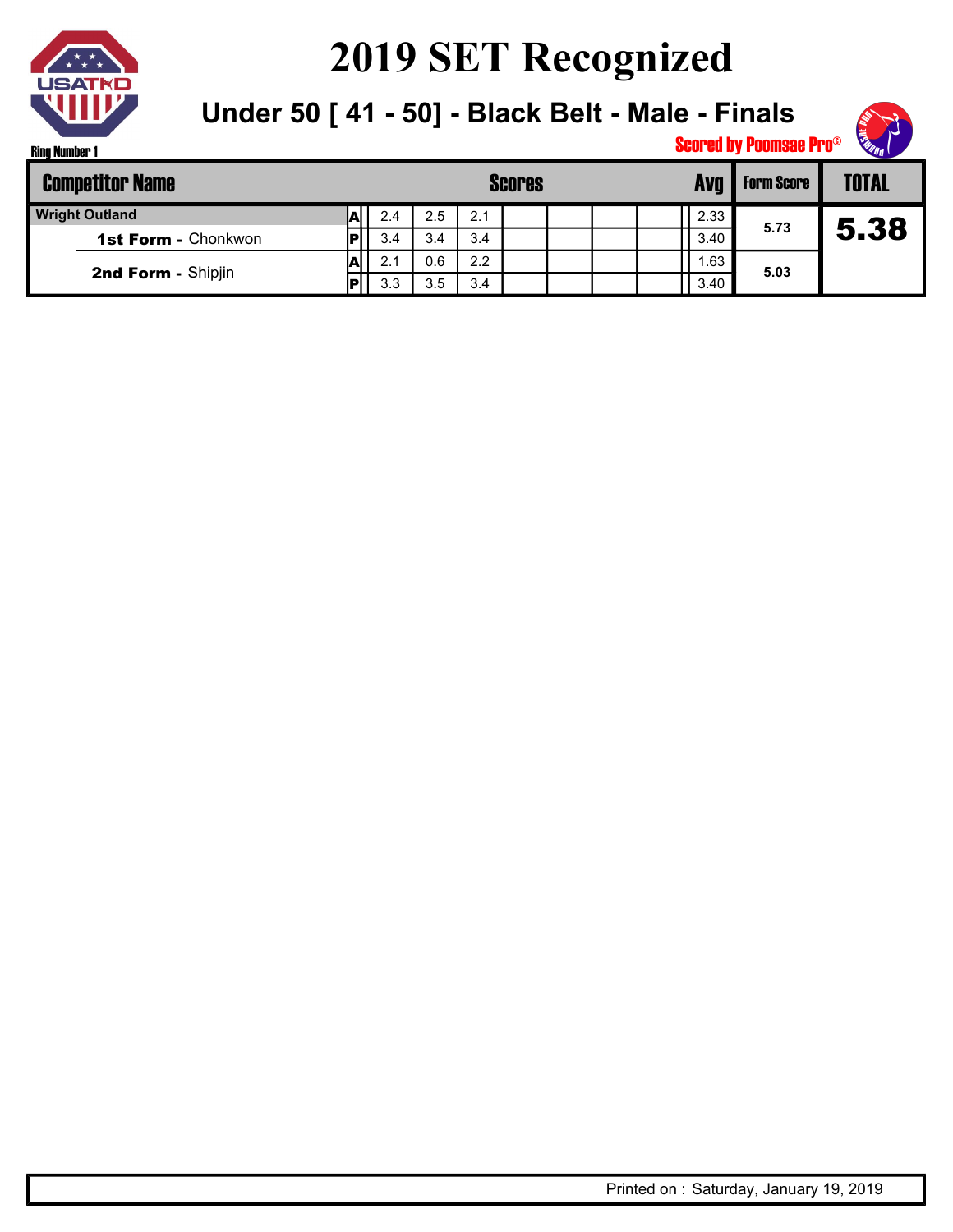

2nd Form - Shipjin

## **2019 SET Recognized**

**Under 50 [ 41 - 50] - Black Belt - Male - Finals**

3.3 3.5 3.4

A P



3.40

**5.03**

Form Score | TOTAL Scored by Poomsae Pro© Competitor Name **Scores Avg Wright Outland All 2.4 2.5 2.1** 3.4 3.4 3.4 2.1 0.6 2.2 1st Form - Chonkwon A P 2.33 3.40 1.63 **5.73** 5.38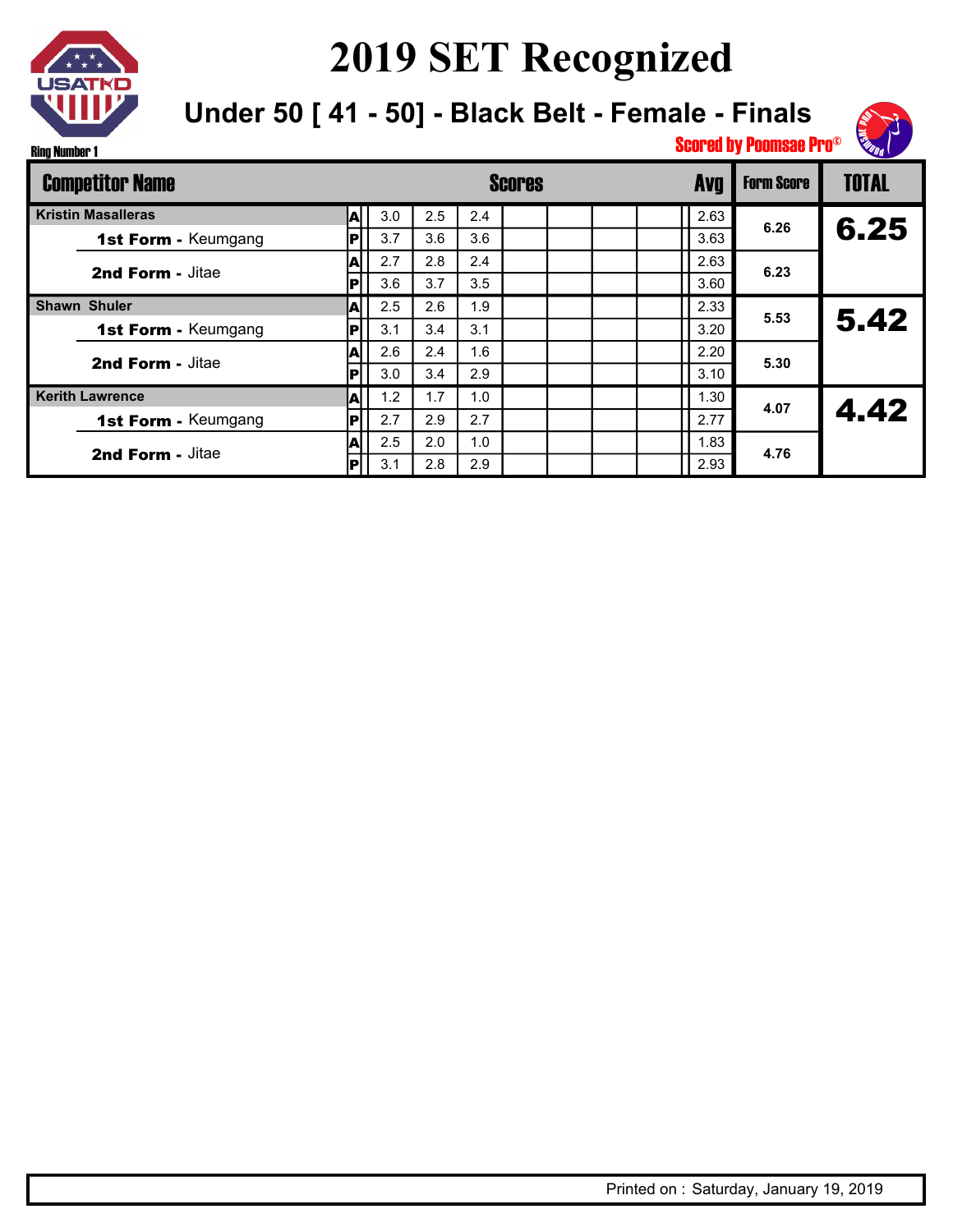

**Under 50 [ 41 - 50] - Black Belt - Female - Finals**



| <b>Competitor Name</b>     | Al |     |     |     |  |  | Avq  | <b>Form Score</b> | <b>TOTAL</b> |
|----------------------------|----|-----|-----|-----|--|--|------|-------------------|--------------|
| <b>Kristin Masalleras</b>  |    | 3.0 | 2.5 | 2.4 |  |  | 2.63 |                   |              |
| 1st Form - Keumgang        | P  | 3.7 | 3.6 | 3.6 |  |  | 3.63 | 6.26              | 6.25         |
| 2nd Form - Jitae           | A  | 2.7 | 2.8 | 2.4 |  |  | 2.63 | 6.23              |              |
|                            |    | 3.6 | 3.7 | 3.5 |  |  | 3.60 |                   |              |
| <b>Shawn Shuler</b>        |    | 2.5 | 2.6 | 1.9 |  |  | 2.33 | 5.53              | 5.42         |
| 1st Form - Keumgang        | P  | 3.1 | 3.4 | 3.1 |  |  | 3.20 |                   |              |
| 2nd Form - Jitae           |    | 2.6 | 2.4 | 1.6 |  |  | 2.20 | 5.30              |              |
|                            |    | 3.0 | 3.4 | 2.9 |  |  | 3.10 |                   |              |
| <b>Kerith Lawrence</b>     | A  | 1.2 | 1.7 | 1.0 |  |  | 1.30 | 4.07              | 4.42         |
| <b>1st Form - Keumgang</b> |    | 2.7 | 2.9 | 2.7 |  |  | 2.77 |                   |              |
| 2nd Form - Jitae           |    | 2.5 | 2.0 | 1.0 |  |  | 1.83 | 4.76              |              |
|                            | Р  | 3.1 | 2.8 | 2.9 |  |  | 2.93 |                   |              |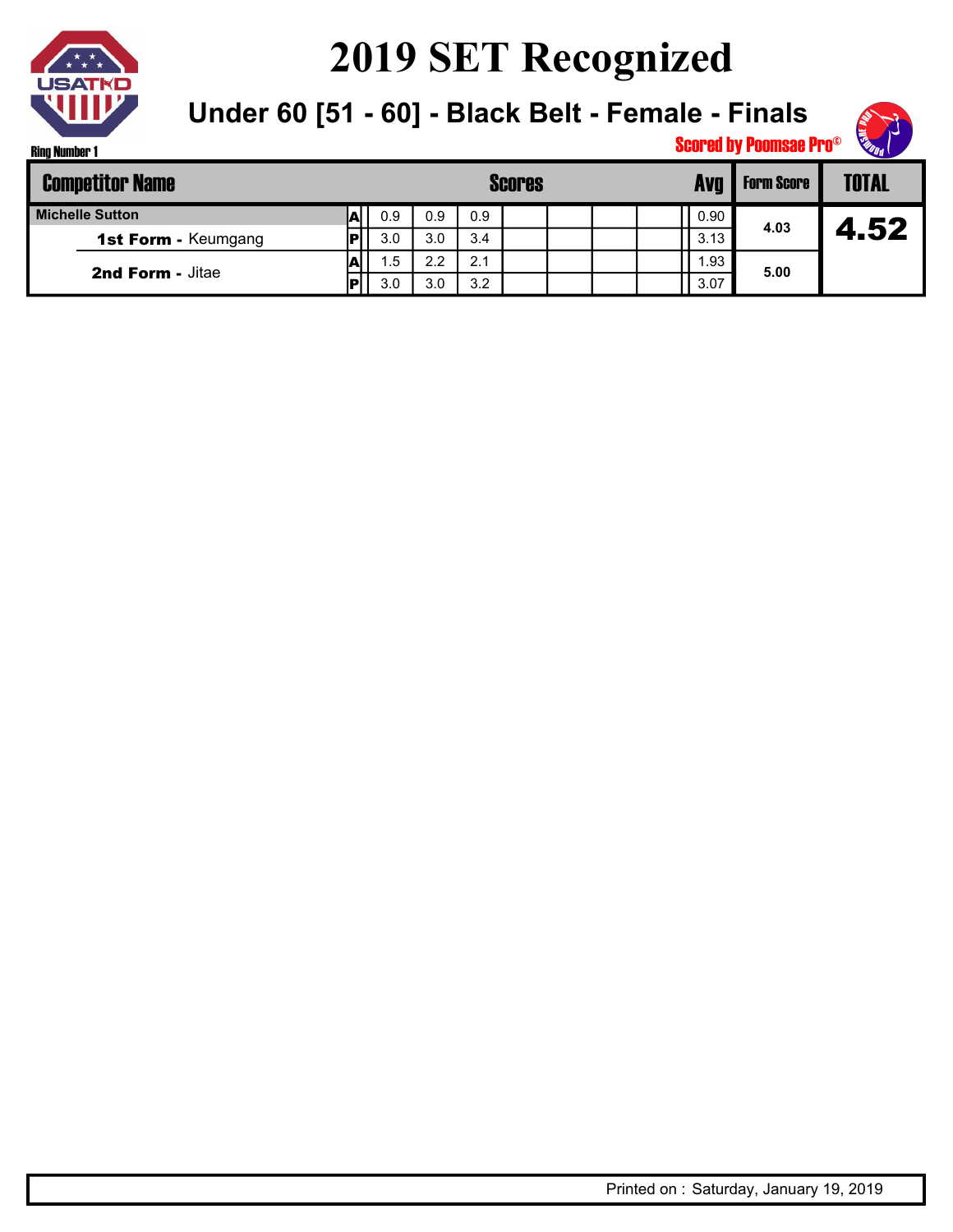

**Under 60 [51 - 60] - Black Belt - Female - Finals**



Form Score | TOTAL Scored by Poomsae Pro© Competitor Name **Scores Avg** Ring Number 1 **Michelle Sutton** 0.9 0.9 0.9 3.0 3.0 3.4 3.0 3.0 3.2  $1.5$  2.2 2.1 1st Form - Keumgang A P A P 0.90 3.13 1.93 3.07 2nd Form - Jitae **4.03 5.00** 4.52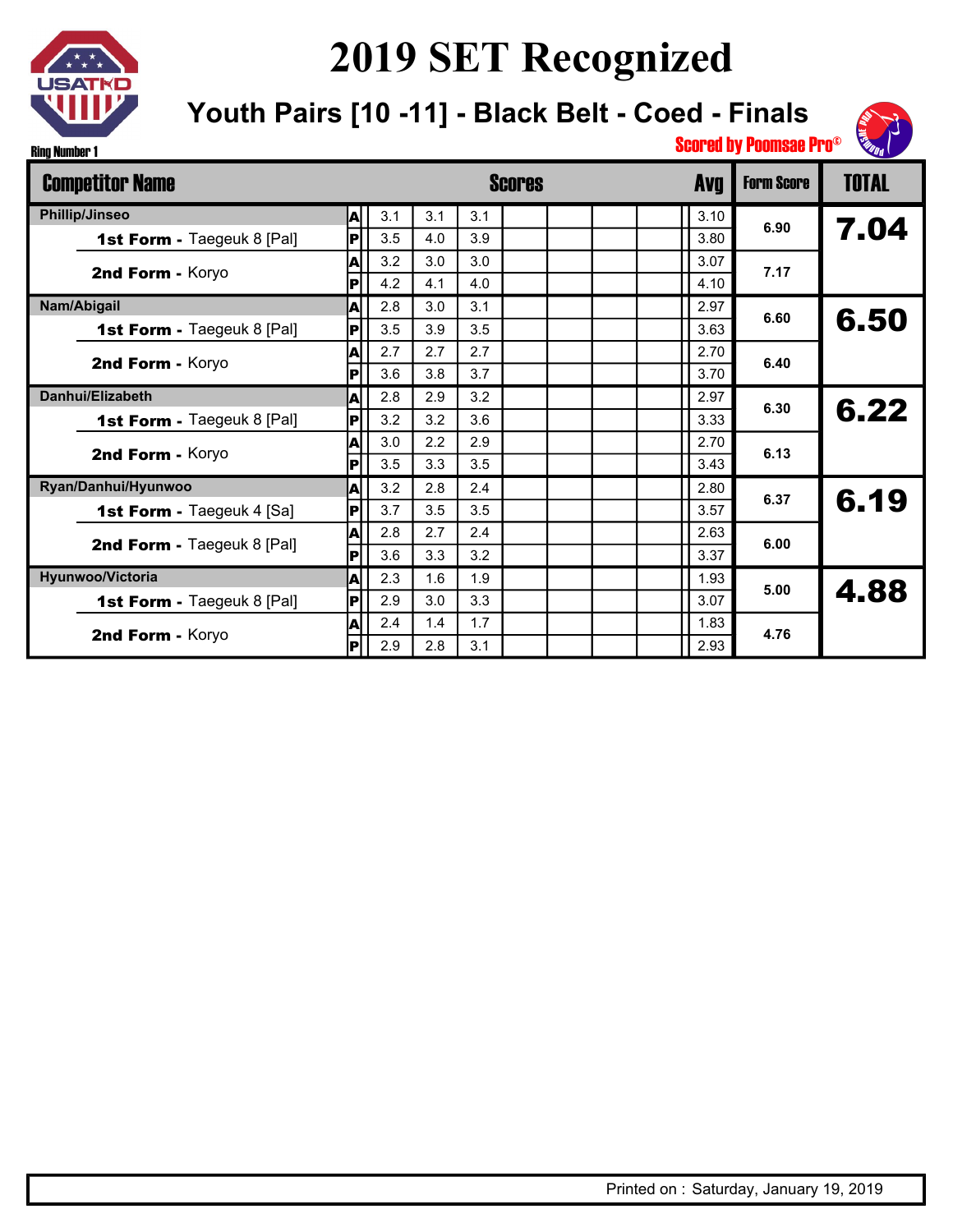

**Youth Pairs [10 -11] - Black Belt - Coed - Finals**



Ring Number 1

| <b>Competitor Name</b>            |          |     |     |     | Scores |  | <b>Avg</b> | <b>Form Score</b> | <b>TOTAL</b> |
|-----------------------------------|----------|-----|-----|-----|--------|--|------------|-------------------|--------------|
| <b>Phillip/Jinseo</b>             | A        | 3.1 | 3.1 | 3.1 |        |  | 3.10       | 6.90              |              |
| <b>1st Form - Taegeuk 8 [Pal]</b> | IР       | 3.5 | 4.0 | 3.9 |        |  | 3.80       |                   | 7.04         |
|                                   | A        | 3.2 | 3.0 | 3.0 |        |  | 3.07       | 7.17              |              |
| 2nd Form - Koryo                  | P        | 4.2 | 4.1 | 4.0 |        |  | 4.10       |                   |              |
| Nam/Abigail                       | A        | 2.8 | 3.0 | 3.1 |        |  | 2.97       | 6.60              | 6.50         |
| <b>1st Form - Taegeuk 8 [Pal]</b> | IР       | 3.5 | 3.9 | 3.5 |        |  | 3.63       |                   |              |
| 2nd Form - Koryo                  | A        | 2.7 | 2.7 | 2.7 |        |  | 2.70       | 6.40              |              |
|                                   | P        | 3.6 | 3.8 | 3.7 |        |  | 3.70       |                   |              |
| Danhui/Elizabeth                  | <b>A</b> | 2.8 | 2.9 | 3.2 |        |  | 2.97       | 6.30              | 6.22         |
| <b>1st Form - Taegeuk 8 [Pal]</b> | P        | 3.2 | 3.2 | 3.6 |        |  | 3.33       |                   |              |
| 2nd Form - Koryo                  | A        | 3.0 | 2.2 | 2.9 |        |  | 2.70       | 6.13              |              |
|                                   | P        | 3.5 | 3.3 | 3.5 |        |  | 3.43       |                   |              |
| Ryan/Danhui/Hyunwoo               | A        | 3.2 | 2.8 | 2.4 |        |  | 2.80       | 6.37              | 6.19         |
| <b>1st Form - Taegeuk 4 [Sa]</b>  | lPİ      | 3.7 | 3.5 | 3.5 |        |  | 3.57       |                   |              |
| 2nd Form - Taegeuk 8 [Pal]        | A        | 2.8 | 2.7 | 2.4 |        |  | 2.63       | 6.00              |              |
|                                   | P        | 3.6 | 3.3 | 3.2 |        |  | 3.37       |                   |              |
| Hyunwoo/Victoria                  | A        | 2.3 | 1.6 | 1.9 |        |  | 1.93       | 5.00              | 4.88         |
| <b>1st Form - Taegeuk 8 [Pal]</b> | P        | 2.9 | 3.0 | 3.3 |        |  | 3.07       |                   |              |
| 2nd Form - Koryo                  | A        | 2.4 | 1.4 | 1.7 |        |  | 1.83       | 4.76              |              |
|                                   | P        | 2.9 | 2.8 | 3.1 |        |  | 2.93       |                   |              |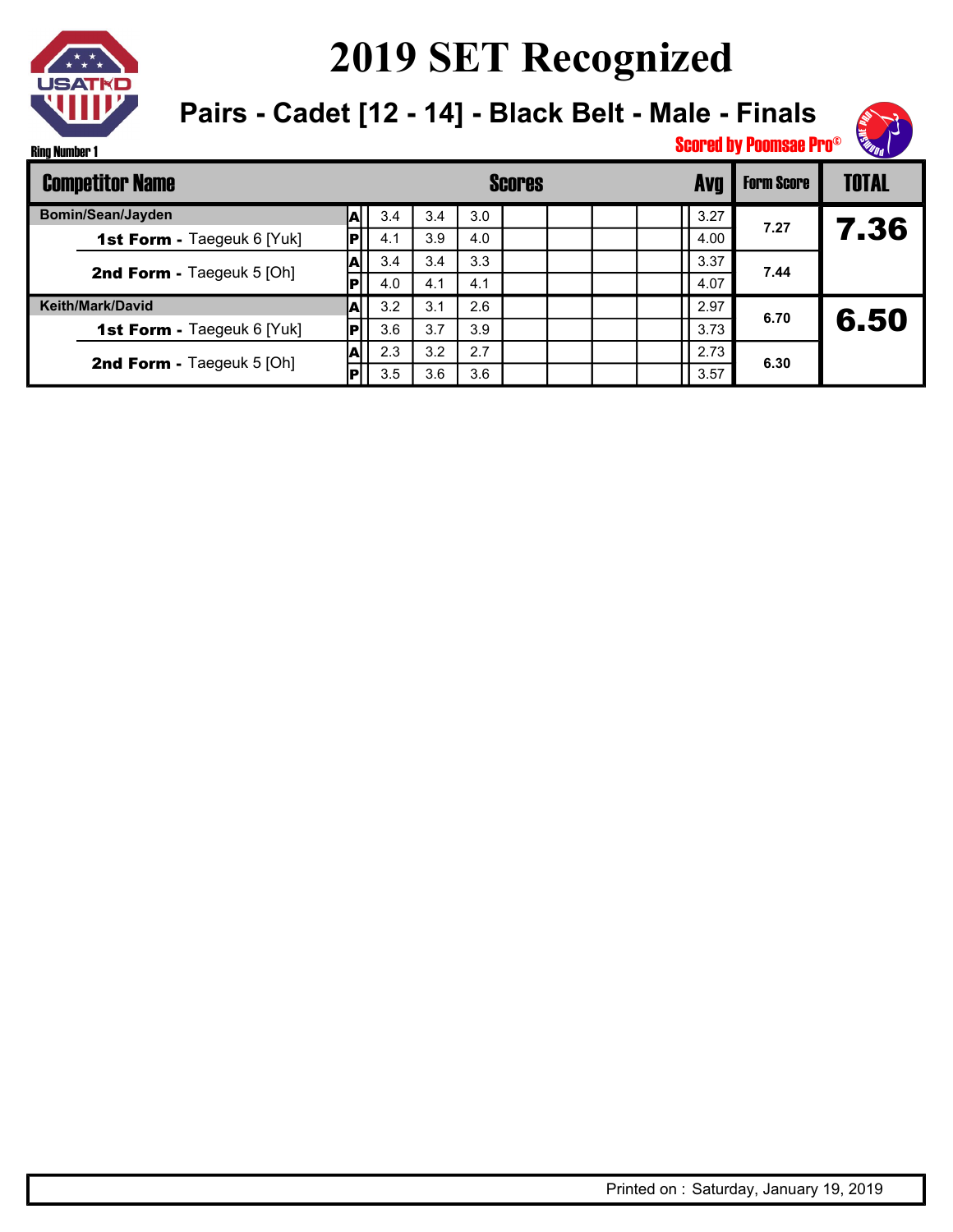

**Pairs - Cadet [12 - 14] - Black Belt - Male - Finals**



Ring Number 1

|                           | <b>Competitor Name</b>     |    |     |     | <b>Scores</b> |  |  | <b>Form Score</b> | <b>TOTAL</b> |      |
|---------------------------|----------------------------|----|-----|-----|---------------|--|--|-------------------|--------------|------|
| Bomin/Sean/Jayden         |                            | A  | 3.4 | 3.4 | 3.0           |  |  | 3.27              |              |      |
|                           | 1st Form - Taegeuk 6 [Yuk] |    | 4.1 | 3.9 | 4.0           |  |  | 4.00              | 7.27         | 7.36 |
|                           |                            | Al | 3.4 | 3.4 | 3.3           |  |  | 3.37              | 7.44         |      |
|                           | 2nd Form - Taegeuk 5 [Oh]  |    | 4.0 | 4.1 | 4.1           |  |  | 4.07              |              |      |
|                           | <b>Keith/Mark/David</b>    | Al | 3.2 | 3.1 | 2.6           |  |  | 2.97              | 6.70         |      |
|                           | 1st Form - Taegeuk 6 [Yuk] |    | 3.6 | 3.7 | 3.9           |  |  | 3.73              |              | 6.50 |
|                           |                            |    | 2.3 | 3.2 | 2.7           |  |  | 2.73              | 6.30         |      |
| 2nd Form - Taegeuk 5 [Oh] |                            |    | 3.5 | 3.6 | 3.6           |  |  | 3.57              |              |      |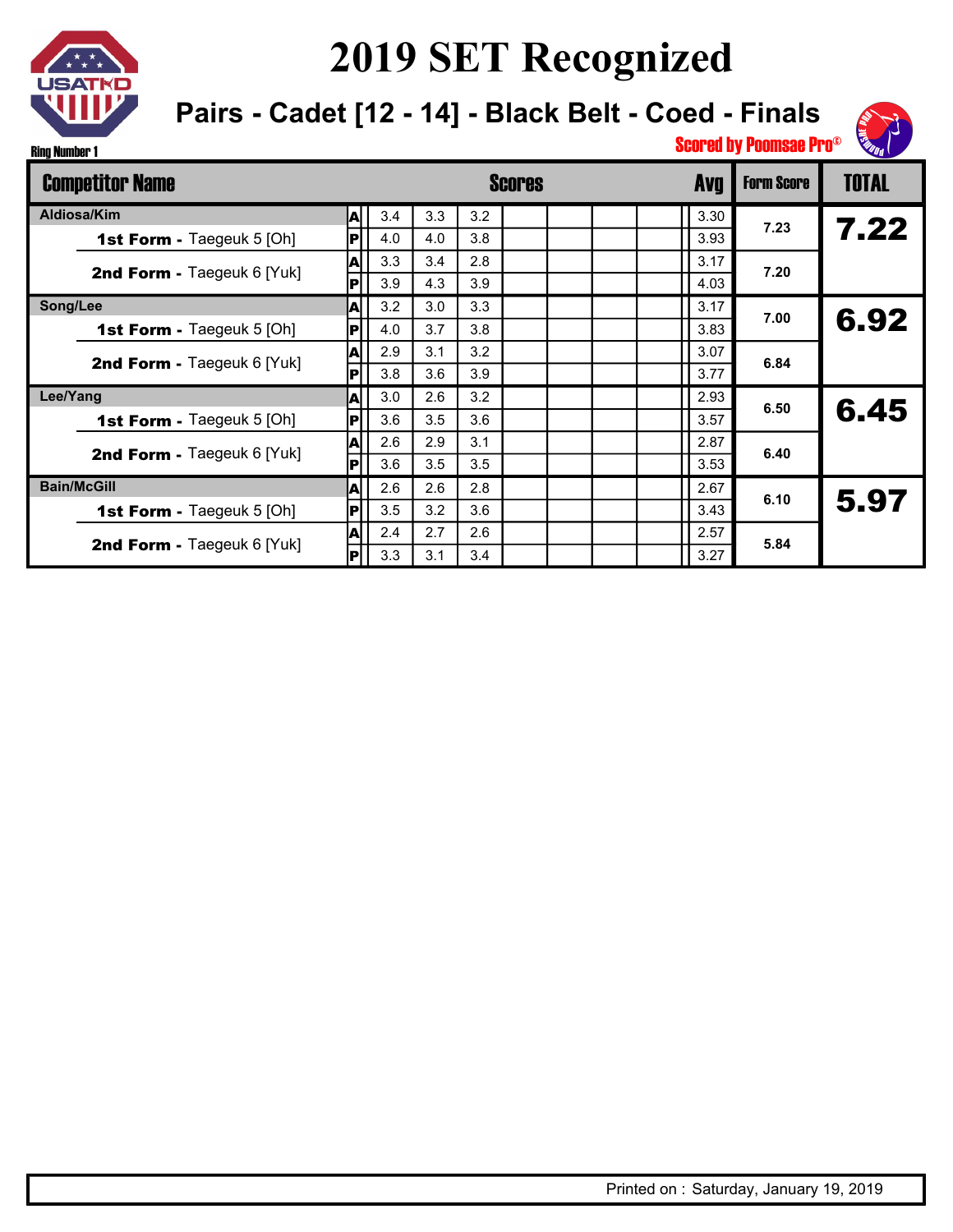

**Pairs - Cadet [12 - 14] - Black Belt - Coed - Finals**



| <b>Competitor Name</b>            |     |     |     |     | <b>Scores</b> |  | <b>Avq</b> | <b>Form Score</b> | <b>TOTAL</b> |
|-----------------------------------|-----|-----|-----|-----|---------------|--|------------|-------------------|--------------|
| Aldiosa/Kim                       | A   | 3.4 | 3.3 | 3.2 |               |  | 3.30       | 7.23              |              |
| <b>1st Form - Taegeuk 5 [Oh]</b>  | P   | 4.0 | 4.0 | 3.8 |               |  | 3.93       |                   | 7.22         |
| 2nd Form - Taegeuk 6 [Yuk]        | A   | 3.3 | 3.4 | 2.8 |               |  | 3.17       | 7.20              |              |
|                                   | IР  | 3.9 | 4.3 | 3.9 |               |  | 4.03       |                   |              |
| Song/Lee                          | A   | 3.2 | 3.0 | 3.3 |               |  | 3.17       | 7.00              | 6.92         |
| 1st Form - Taegeuk 5 [Oh]         | lP. | 4.0 | 3.7 | 3.8 |               |  | 3.83       |                   |              |
| <b>2nd Form - Taegeuk 6 [Yuk]</b> | A   | 2.9 | 3.1 | 3.2 |               |  | 3.07       | 6.84              |              |
|                                   | IР  | 3.8 | 3.6 | 3.9 |               |  | 3.77       |                   |              |
| Lee/Yang                          | A   | 3.0 | 2.6 | 3.2 |               |  | 2.93       | 6.50              | 6.45         |
| <b>1st Form - Taegeuk 5 [Oh]</b>  | P   | 3.6 | 3.5 | 3.6 |               |  | 3.57       |                   |              |
| 2nd Form - Taegeuk 6 [Yuk]        | A   | 2.6 | 2.9 | 3.1 |               |  | 2.87       | 6.40              |              |
|                                   | IР  | 3.6 | 3.5 | 3.5 |               |  | 3.53       |                   |              |
| <b>Bain/McGill</b>                | ΙA  | 2.6 | 2.6 | 2.8 |               |  | 2.67       | 6.10              | 5.97         |
| <b>1st Form - Taegeuk 5 [Oh]</b>  | lpl | 3.5 | 3.2 | 3.6 |               |  | 3.43       |                   |              |
| 2nd Form - Taegeuk 6 [Yuk]        | A   | 2.4 | 2.7 | 2.6 |               |  | 2.57       | 5.84              |              |
|                                   | P   | 3.3 | 3.1 | 3.4 |               |  | 3.27       |                   |              |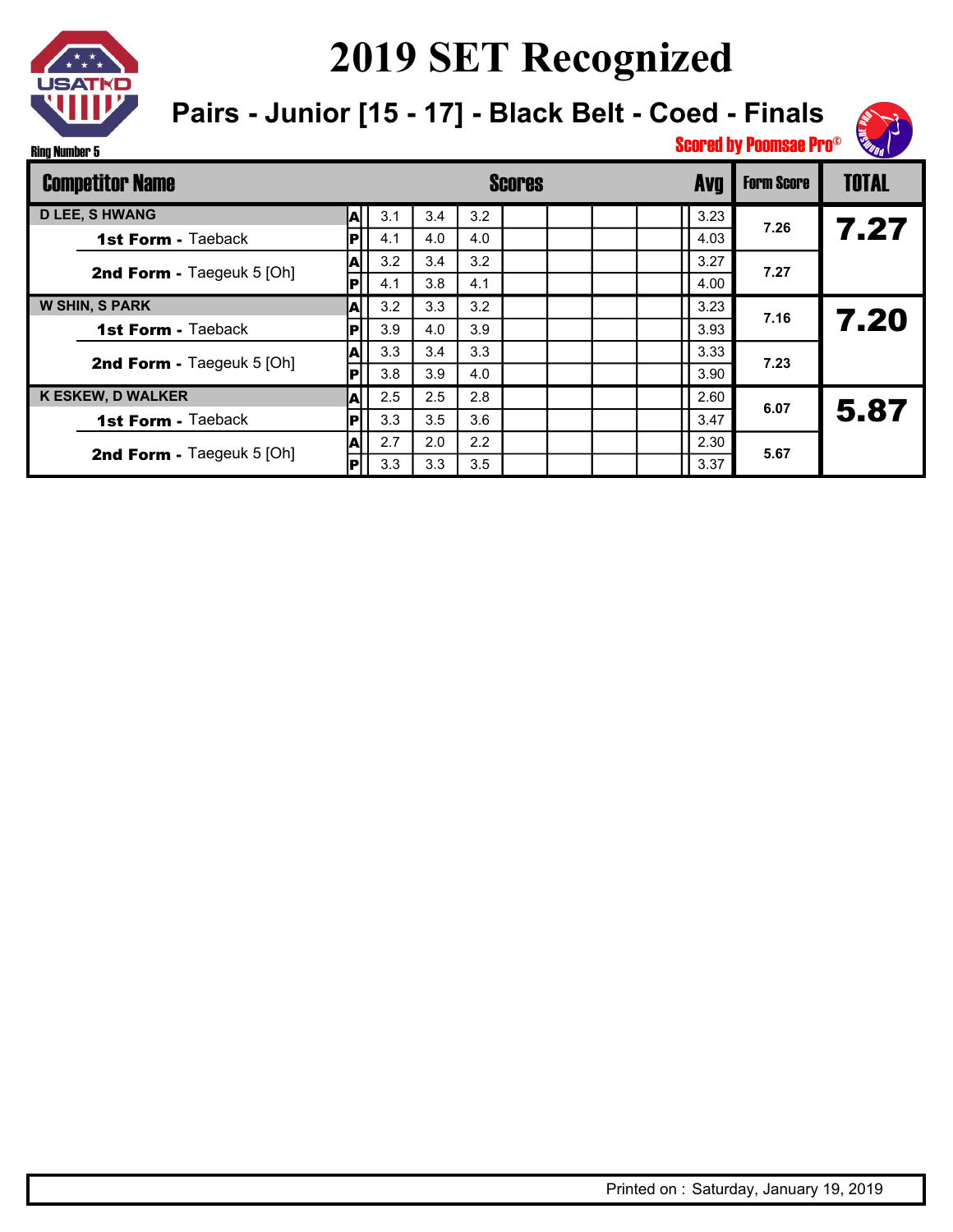

**Pairs - Junior [15 - 17] - Black Belt - Coed - Finals**



Ring Number 5

| <b>Competitor Name</b> |                                  |    |     |     |     | <b>Scores</b> |  | <b>Avg</b> | <b>Form Score</b> | <b>TOTAL</b> |
|------------------------|----------------------------------|----|-----|-----|-----|---------------|--|------------|-------------------|--------------|
|                        | <b>D LEE, S HWANG</b>            | Al | 3.1 | 3.4 | 3.2 |               |  | 3.23       |                   |              |
|                        | 1st Form - Taeback               | P  | 4.1 | 4.0 | 4.0 |               |  | 4.03       | 7.26              | 7.27         |
|                        |                                  | A  | 3.2 | 3.4 | 3.2 |               |  | 3.27       | 7.27              |              |
|                        | <b>2nd Form - Taegeuk 5 [Oh]</b> | Р  | 4.1 | 3.8 | 4.1 |               |  | 4.00       |                   |              |
|                        | <b>W SHIN, S PARK</b>            | Al | 3.2 | 3.3 | 3.2 |               |  | 3.23       | 7.16              |              |
|                        | 1st Form - Taeback               | P  | 3.9 | 4.0 | 3.9 |               |  | 3.93       |                   | 7.20         |
|                        | 2nd Form - Taegeuk 5 [Oh]        | A  | 3.3 | 3.4 | 3.3 |               |  | 3.33       | 7.23              |              |
|                        |                                  |    | 3.8 | 3.9 | 4.0 |               |  | 3.90       |                   |              |
|                        | <b>K ESKEW, D WALKER</b>         | A  | 2.5 | 2.5 | 2.8 |               |  | 2.60       | 6.07              | 5.87         |
|                        | <b>1st Form - Taeback</b>        | P  | 3.3 | 3.5 | 3.6 |               |  | 3.47       |                   |              |
|                        |                                  | Al | 2.7 | 2.0 | 2.2 |               |  | 2.30       | 5.67              |              |
|                        | 2nd Form - Taegeuk 5 [Oh]        |    | 3.3 | 3.3 | 3.5 |               |  | 3.37       |                   |              |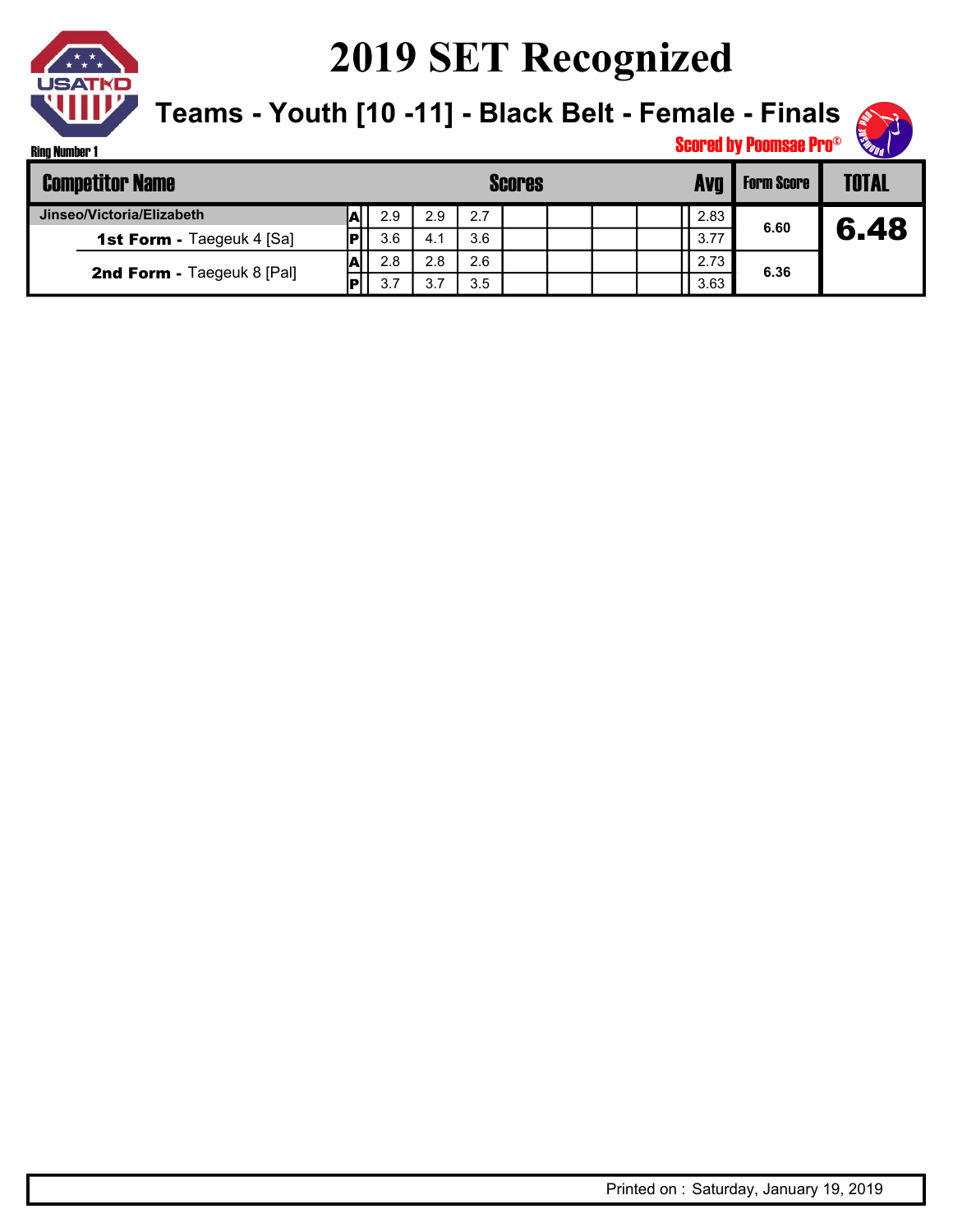

Ring Number 1

#### **2019 SET Recognized**

#### **Teams - Youth [10 -11] - Black Belt - Female - Finals**



| <b>Competitor Name</b> |                                  |   |     |     |     | <b>Scores</b> |  | Ava  | <b>Form Score</b> | <b>TOTAL</b> |
|------------------------|----------------------------------|---|-----|-----|-----|---------------|--|------|-------------------|--------------|
|                        | Jinseo/Victoria/Elizabeth        | A | 2.9 | 2.9 | 2.7 |               |  | 2.83 |                   |              |
|                        | <b>1st Form - Taegeuk 4 [Sa]</b> |   | 3.6 | 4.1 | 3.6 |               |  | 3.77 | 6.60              | 6.48         |
|                        | 2nd Form - Taegeuk 8 [Pal]       | А | 2.8 | 2.8 | 2.6 |               |  | 2.73 | 6.36              |              |
|                        |                                  |   | 3.7 | 3.7 | 3.5 |               |  | 3.63 |                   |              |